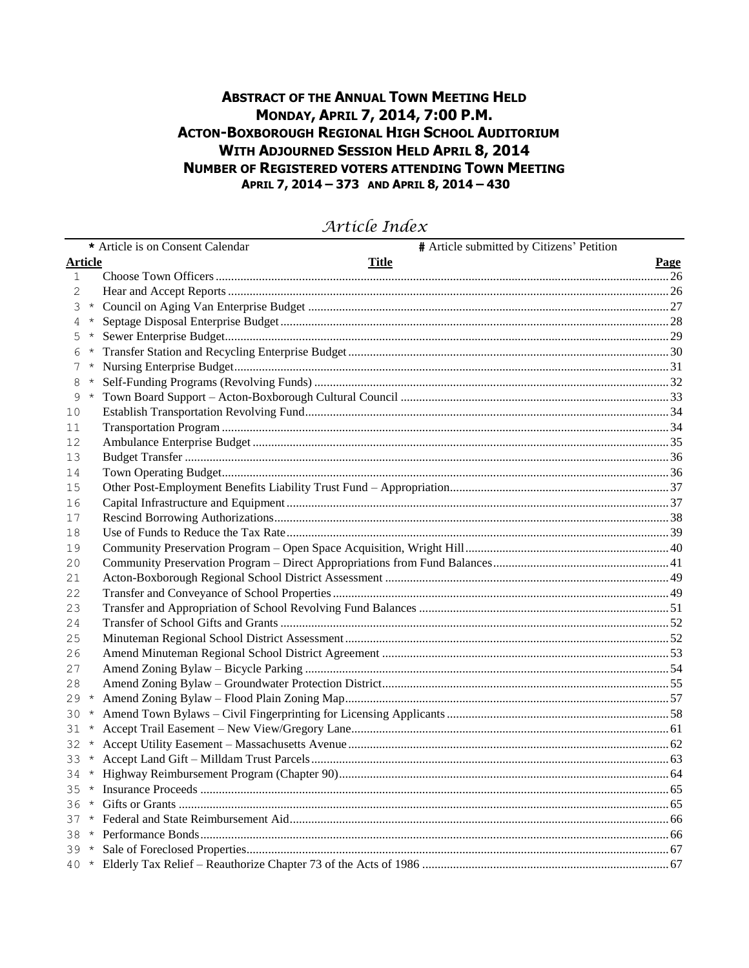## **ABSTRACT OF THE ANNUAL TOWN MEETING HELD** MONDAY, APRIL 7, 2014, 7:00 P.M. **ACTON-BOXBOROUGH REGIONAL HIGH SCHOOL AUDITORIUM WITH ADJOURNED SESSION HELD APRIL 8, 2014 NUMBER OF REGISTERED VOTERS ATTENDING TOWN MEETING** APRIL 7, 2014 - 373 AND APRIL 8, 2014 - 430

|                |         | # Article submitted by Citizens' Petition<br>* Article is on Consent Calendar |      |
|----------------|---------|-------------------------------------------------------------------------------|------|
| <b>Article</b> |         | <b>Title</b>                                                                  | Page |
| $\mathbf{1}$   |         |                                                                               |      |
| 2              |         |                                                                               |      |
| 3              | $\star$ |                                                                               |      |
| 4              | $\star$ |                                                                               |      |
| 5              | $\star$ |                                                                               |      |
|                | $\star$ |                                                                               |      |
| 7              |         |                                                                               |      |
| 8              | $\star$ |                                                                               |      |
| 9              | $\star$ |                                                                               |      |
| 10             |         |                                                                               |      |
| 11             |         |                                                                               |      |
| 12             |         |                                                                               |      |
| 13             |         |                                                                               |      |
| 14             |         |                                                                               |      |
| 15             |         |                                                                               |      |
| 16             |         |                                                                               |      |
| 17             |         |                                                                               |      |
| 18             |         |                                                                               |      |
| 19             |         |                                                                               |      |
| 20             |         |                                                                               |      |
| 21             |         |                                                                               |      |
| 22             |         |                                                                               |      |
| 23             |         |                                                                               |      |
| 24             |         |                                                                               |      |
| 25             |         |                                                                               |      |
| 26             |         |                                                                               |      |
| 27             |         |                                                                               |      |
| 28             |         |                                                                               |      |
| 29             | $\star$ |                                                                               |      |
| 30             | $\star$ |                                                                               |      |
| 31             | $\star$ |                                                                               |      |
| 32             |         |                                                                               |      |
| 33             | $\star$ |                                                                               |      |
| 34             |         |                                                                               |      |
|                |         |                                                                               |      |
| 36.            |         |                                                                               |      |
|                |         |                                                                               |      |
| 38.            |         |                                                                               |      |
|                |         |                                                                               |      |
|                |         |                                                                               |      |

## Article Index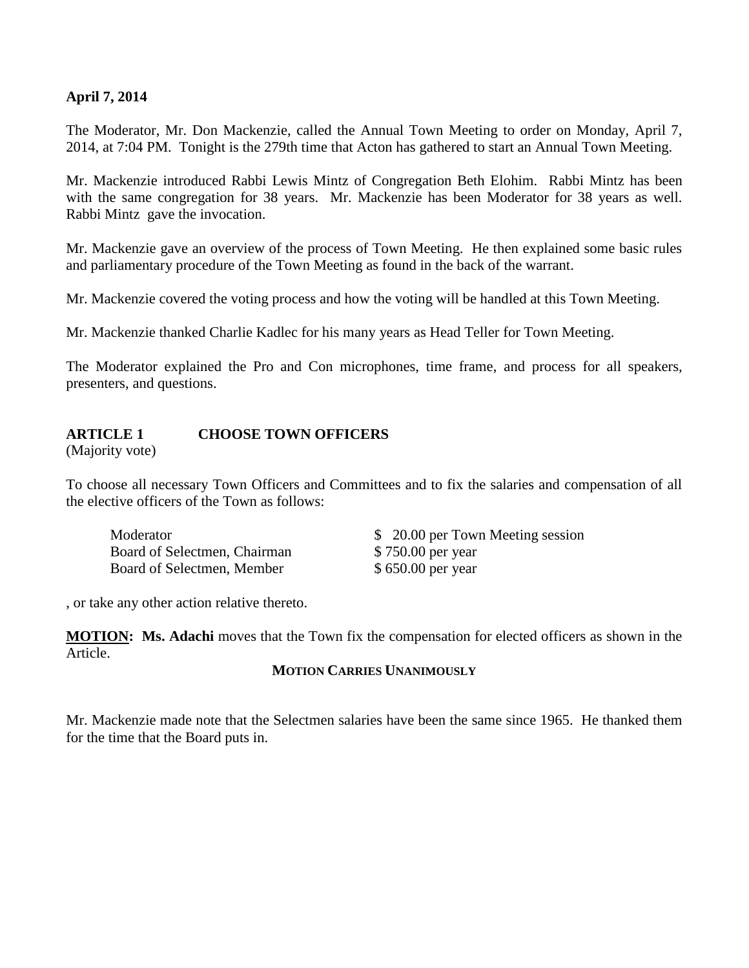## **April 7, 2014**

The Moderator, Mr. Don Mackenzie, called the Annual Town Meeting to order on Monday, April 7, 2014, at 7:04 PM. Tonight is the 279th time that Acton has gathered to start an Annual Town Meeting.

Mr. Mackenzie introduced Rabbi Lewis Mintz of Congregation Beth Elohim. Rabbi Mintz has been with the same congregation for 38 years. Mr. Mackenzie has been Moderator for 38 years as well. Rabbi Mintz gave the invocation.

Mr. Mackenzie gave an overview of the process of Town Meeting. He then explained some basic rules and parliamentary procedure of the Town Meeting as found in the back of the warrant.

Mr. Mackenzie covered the voting process and how the voting will be handled at this Town Meeting.

Mr. Mackenzie thanked Charlie Kadlec for his many years as Head Teller for Town Meeting.

The Moderator explained the Pro and Con microphones, time frame, and process for all speakers, presenters, and questions.

## **ARTICLE 1 CHOOSE TOWN OFFICERS**

(Majority vote)

To choose all necessary Town Officers and Committees and to fix the salaries and compensation of all the elective officers of the Town as follows:

Board of Selectmen, Chairman \$ 750.00 per year Board of Selectmen, Member \$ 650.00 per year

Moderator  $\qquad \qquad$  8 20.00 per Town Meeting session

, or take any other action relative thereto.

**MOTION: Ms. Adachi** moves that the Town fix the compensation for elected officers as shown in the Article.

#### **MOTION CARRIES UNANIMOUSLY**

Mr. Mackenzie made note that the Selectmen salaries have been the same since 1965. He thanked them for the time that the Board puts in.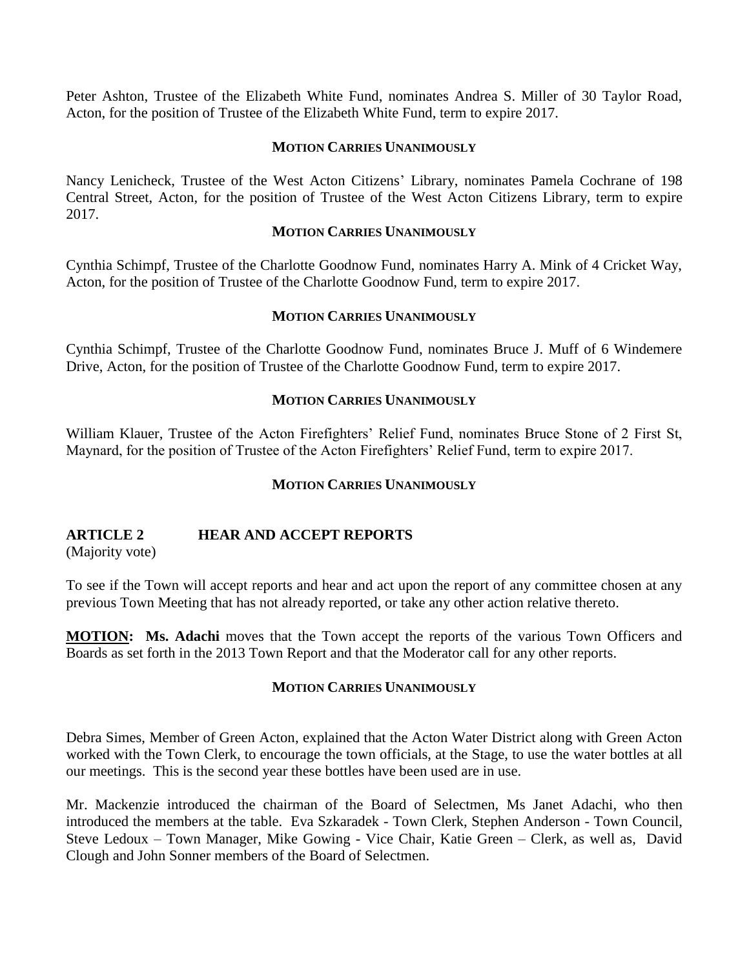Peter Ashton, Trustee of the Elizabeth White Fund, nominates Andrea S. Miller of 30 Taylor Road, Acton, for the position of Trustee of the Elizabeth White Fund, term to expire 2017.

#### **MOTION CARRIES UNANIMOUSLY**

Nancy Lenicheck, Trustee of the West Acton Citizens' Library, nominates Pamela Cochrane of 198 Central Street, Acton, for the position of Trustee of the West Acton Citizens Library, term to expire 2017.

## **MOTION CARRIES UNANIMOUSLY**

Cynthia Schimpf, Trustee of the Charlotte Goodnow Fund, nominates Harry A. Mink of 4 Cricket Way, Acton, for the position of Trustee of the Charlotte Goodnow Fund, term to expire 2017.

## **MOTION CARRIES UNANIMOUSLY**

Cynthia Schimpf, Trustee of the Charlotte Goodnow Fund, nominates Bruce J. Muff of 6 Windemere Drive, Acton, for the position of Trustee of the Charlotte Goodnow Fund, term to expire 2017.

## **MOTION CARRIES UNANIMOUSLY**

William Klauer, Trustee of the Acton Firefighters' Relief Fund, nominates Bruce Stone of 2 First St, Maynard, for the position of Trustee of the Acton Firefighters' Relief Fund, term to expire 2017.

#### **MOTION CARRIES UNANIMOUSLY**

## **ARTICLE 2 HEAR AND ACCEPT REPORTS**

(Majority vote)

To see if the Town will accept reports and hear and act upon the report of any committee chosen at any previous Town Meeting that has not already reported, or take any other action relative thereto.

**MOTION: Ms. Adachi** moves that the Town accept the reports of the various Town Officers and Boards as set forth in the 2013 Town Report and that the Moderator call for any other reports.

#### **MOTION CARRIES UNANIMOUSLY**

Debra Simes, Member of Green Acton, explained that the Acton Water District along with Green Acton worked with the Town Clerk, to encourage the town officials, at the Stage, to use the water bottles at all our meetings. This is the second year these bottles have been used are in use.

Mr. Mackenzie introduced the chairman of the Board of Selectmen, Ms Janet Adachi, who then introduced the members at the table. Eva Szkaradek - Town Clerk, Stephen Anderson - Town Council, Steve Ledoux – Town Manager, Mike Gowing - Vice Chair, Katie Green – Clerk, as well as, David Clough and John Sonner members of the Board of Selectmen.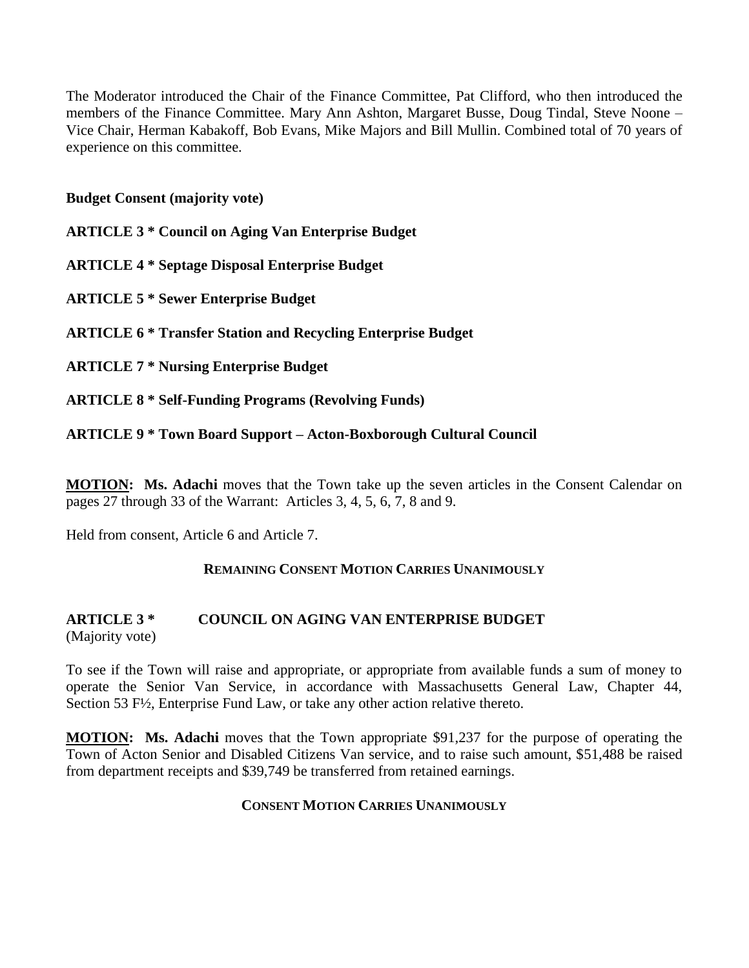The Moderator introduced the Chair of the Finance Committee, Pat Clifford, who then introduced the members of the Finance Committee. Mary Ann Ashton, Margaret Busse, Doug Tindal, Steve Noone – Vice Chair, Herman Kabakoff, Bob Evans, Mike Majors and Bill Mullin. Combined total of 70 years of experience on this committee.

**Budget Consent (majority vote)**

**ARTICLE 3 \* Council on Aging Van Enterprise Budget**

**ARTICLE 4 \* Septage Disposal Enterprise Budget**

**ARTICLE 5 \* Sewer Enterprise Budget**

**ARTICLE 6 \* Transfer Station and Recycling Enterprise Budget**

**ARTICLE 7 \* Nursing Enterprise Budget**

**ARTICLE 8 \* Self-Funding Programs (Revolving Funds)**

#### **ARTICLE 9 \* Town Board Support – Acton-Boxborough Cultural Council**

**MOTION: Ms. Adachi** moves that the Town take up the seven articles in the Consent Calendar on pages 27 through 33 of the Warrant: Articles 3, 4, 5, 6, 7, 8 and 9.

Held from consent, Article 6 and Article 7.

#### **REMAINING CONSENT MOTION CARRIES UNANIMOUSLY**

#### **ARTICLE 3 \* COUNCIL ON AGING VAN ENTERPRISE BUDGET** (Majority vote)

To see if the Town will raise and appropriate, or appropriate from available funds a sum of money to operate the Senior Van Service, in accordance with Massachusetts General Law, Chapter 44, Section 53 F½, Enterprise Fund Law, or take any other action relative thereto.

**MOTION: Ms. Adachi** moves that the Town appropriate \$91,237 for the purpose of operating the Town of Acton Senior and Disabled Citizens Van service, and to raise such amount, \$51,488 be raised from department receipts and \$39,749 be transferred from retained earnings.

#### **CONSENT MOTION CARRIES UNANIMOUSLY**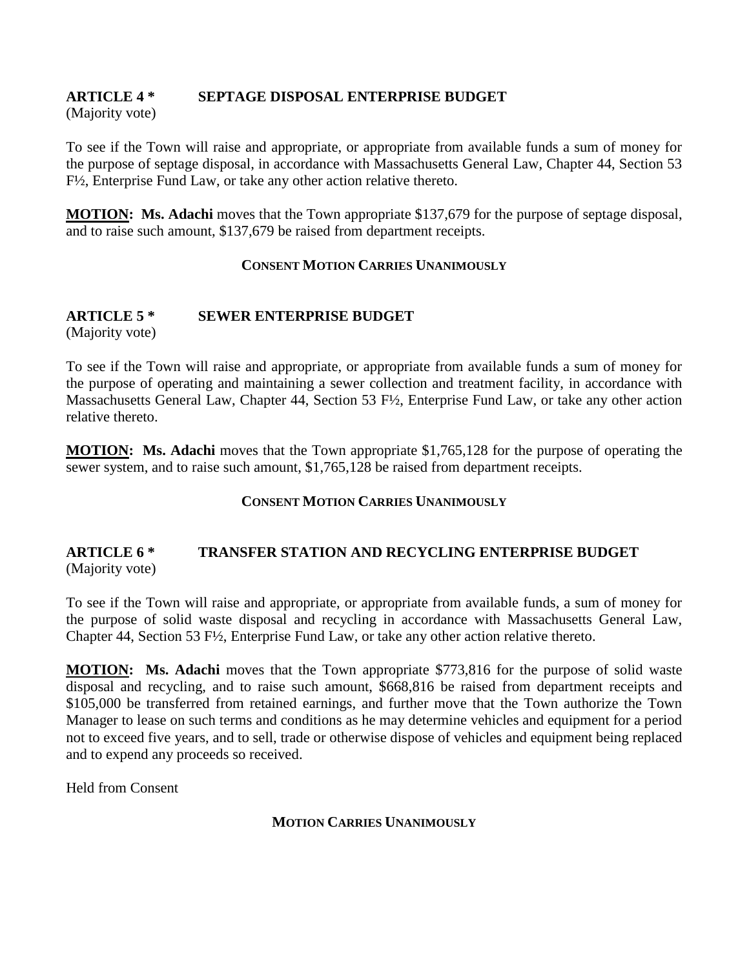# **ARTICLE 4 \* SEPTAGE DISPOSAL ENTERPRISE BUDGET**

(Majority vote)

To see if the Town will raise and appropriate, or appropriate from available funds a sum of money for the purpose of septage disposal, in accordance with Massachusetts General Law, Chapter 44, Section 53 F½, Enterprise Fund Law, or take any other action relative thereto.

**MOTION: Ms. Adachi** moves that the Town appropriate \$137,679 for the purpose of septage disposal, and to raise such amount, \$137,679 be raised from department receipts.

## **CONSENT MOTION CARRIES UNANIMOUSLY**

# **ARTICLE 5 \* SEWER ENTERPRISE BUDGET**

(Majority vote)

To see if the Town will raise and appropriate, or appropriate from available funds a sum of money for the purpose of operating and maintaining a sewer collection and treatment facility, in accordance with Massachusetts General Law, Chapter 44, Section 53 F½, Enterprise Fund Law, or take any other action relative thereto.

**MOTION: Ms. Adachi** moves that the Town appropriate \$1,765,128 for the purpose of operating the sewer system, and to raise such amount, \$1,765,128 be raised from department receipts.

#### **CONSENT MOTION CARRIES UNANIMOUSLY**

## **ARTICLE 6 \* TRANSFER STATION AND RECYCLING ENTERPRISE BUDGET** (Majority vote)

To see if the Town will raise and appropriate, or appropriate from available funds, a sum of money for the purpose of solid waste disposal and recycling in accordance with Massachusetts General Law, Chapter 44, Section 53 F½, Enterprise Fund Law, or take any other action relative thereto.

**MOTION: Ms. Adachi** moves that the Town appropriate \$773,816 for the purpose of solid waste disposal and recycling, and to raise such amount, \$668,816 be raised from department receipts and \$105,000 be transferred from retained earnings, and further move that the Town authorize the Town Manager to lease on such terms and conditions as he may determine vehicles and equipment for a period not to exceed five years, and to sell, trade or otherwise dispose of vehicles and equipment being replaced and to expend any proceeds so received.

Held from Consent

#### **MOTION CARRIES UNANIMOUSLY**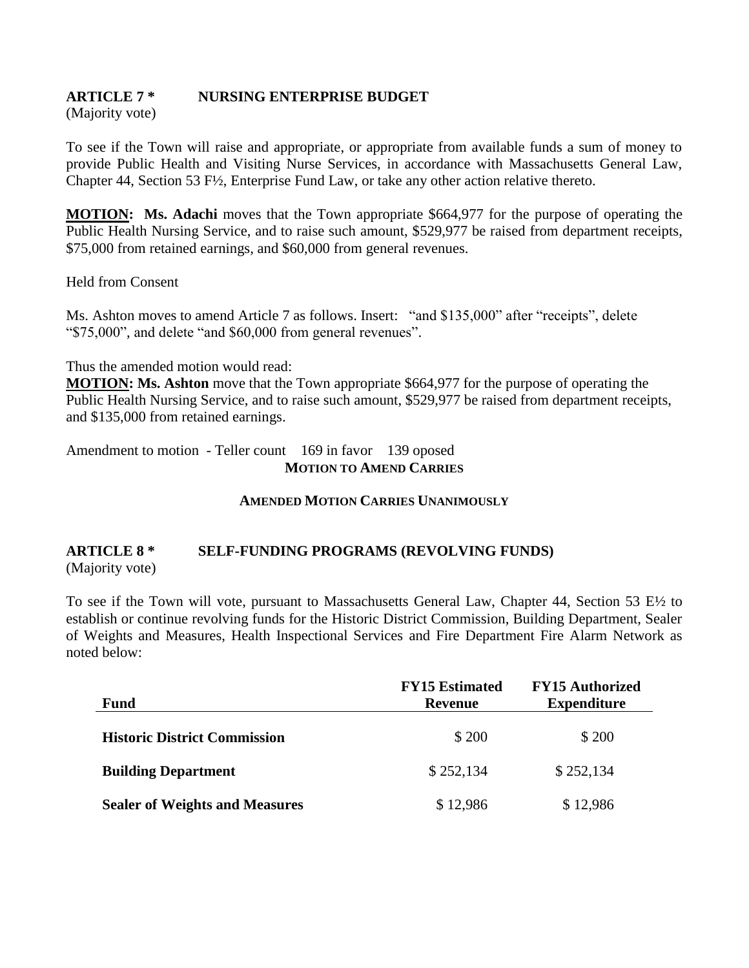# **ARTICLE 7 \* NURSING ENTERPRISE BUDGET**

(Majority vote)

To see if the Town will raise and appropriate, or appropriate from available funds a sum of money to provide Public Health and Visiting Nurse Services, in accordance with Massachusetts General Law, Chapter 44, Section 53 F½, Enterprise Fund Law, or take any other action relative thereto.

**MOTION: Ms. Adachi** moves that the Town appropriate \$664,977 for the purpose of operating the Public Health Nursing Service, and to raise such amount, \$529,977 be raised from department receipts, \$75,000 from retained earnings, and \$60,000 from general revenues.

Held from Consent

Ms. Ashton moves to amend Article 7 as follows. Insert: "and \$135,000" after "receipts", delete "\$75,000", and delete "and \$60,000 from general revenues".

Thus the amended motion would read:

**MOTION: Ms. Ashton** move that the Town appropriate \$664,977 for the purpose of operating the Public Health Nursing Service, and to raise such amount, \$529,977 be raised from department receipts, and \$135,000 from retained earnings.

Amendment to motion - Teller count 169 in favor 139 oposed **MOTION TO AMEND CARRIES**

#### **AMENDED MOTION CARRIES UNANIMOUSLY**

## **ARTICLE 8 \* SELF-FUNDING PROGRAMS (REVOLVING FUNDS)** (Majority vote)

To see if the Town will vote, pursuant to Massachusetts General Law, Chapter 44, Section 53  $E\frac{1}{2}$  to establish or continue revolving funds for the Historic District Commission, Building Department, Sealer of Weights and Measures, Health Inspectional Services and Fire Department Fire Alarm Network as noted below:

| <b>Fund</b>                           | <b>FY15 Estimated</b><br><b>Revenue</b> | <b>FY15 Authorized</b><br><b>Expenditure</b> |
|---------------------------------------|-----------------------------------------|----------------------------------------------|
| <b>Historic District Commission</b>   | \$200                                   | \$ 200                                       |
| <b>Building Department</b>            | \$252,134                               | \$252,134                                    |
| <b>Sealer of Weights and Measures</b> | \$12,986                                | \$12,986                                     |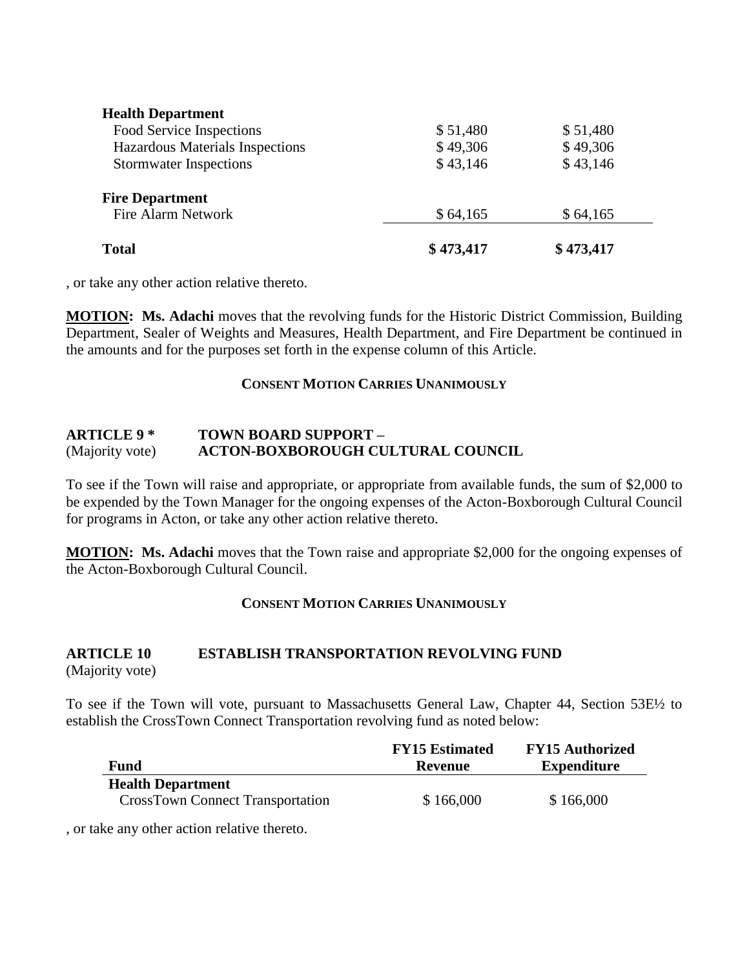| <b>Total</b>                                 | \$473,417 | \$473,417 |  |
|----------------------------------------------|-----------|-----------|--|
| <b>Fire Department</b><br>Fire Alarm Network | \$64,165  | \$64,165  |  |
| <b>Stormwater Inspections</b>                | \$43,146  | \$43,146  |  |
| Hazardous Materials Inspections              | \$49,306  | \$49,306  |  |
| Food Service Inspections                     | \$51,480  | \$51,480  |  |
| <b>Health Department</b>                     |           |           |  |

, or take any other action relative thereto.

**MOTION: Ms. Adachi** moves that the revolving funds for the Historic District Commission, Building Department, Sealer of Weights and Measures, Health Department, and Fire Department be continued in the amounts and for the purposes set forth in the expense column of this Article.

#### **CONSENT MOTION CARRIES UNANIMOUSLY**

#### **ARTICLE 9 \* TOWN BOARD SUPPORT –** (Majority vote) **ACTON-BOXBOROUGH CULTURAL COUNCIL**

To see if the Town will raise and appropriate, or appropriate from available funds, the sum of \$2,000 to be expended by the Town Manager for the ongoing expenses of the Acton-Boxborough Cultural Council for programs in Acton, or take any other action relative thereto.

**MOTION: Ms. Adachi** moves that the Town raise and appropriate \$2,000 for the ongoing expenses of the Acton-Boxborough Cultural Council.

## **CONSENT MOTION CARRIES UNANIMOUSLY**

# **ARTICLE 10 ESTABLISH TRANSPORTATION REVOLVING FUND**

(Majority vote)

To see if the Town will vote, pursuant to Massachusetts General Law, Chapter 44, Section 53E½ to establish the CrossTown Connect Transportation revolving fund as noted below:

|                                         | <b>FY15</b> Estimated | <b>FY15 Authorized</b> |
|-----------------------------------------|-----------------------|------------------------|
| Fund                                    | <b>Revenue</b>        | <b>Expenditure</b>     |
| <b>Health Department</b>                |                       |                        |
| <b>CrossTown Connect Transportation</b> | \$166,000             | \$166,000              |

, or take any other action relative thereto.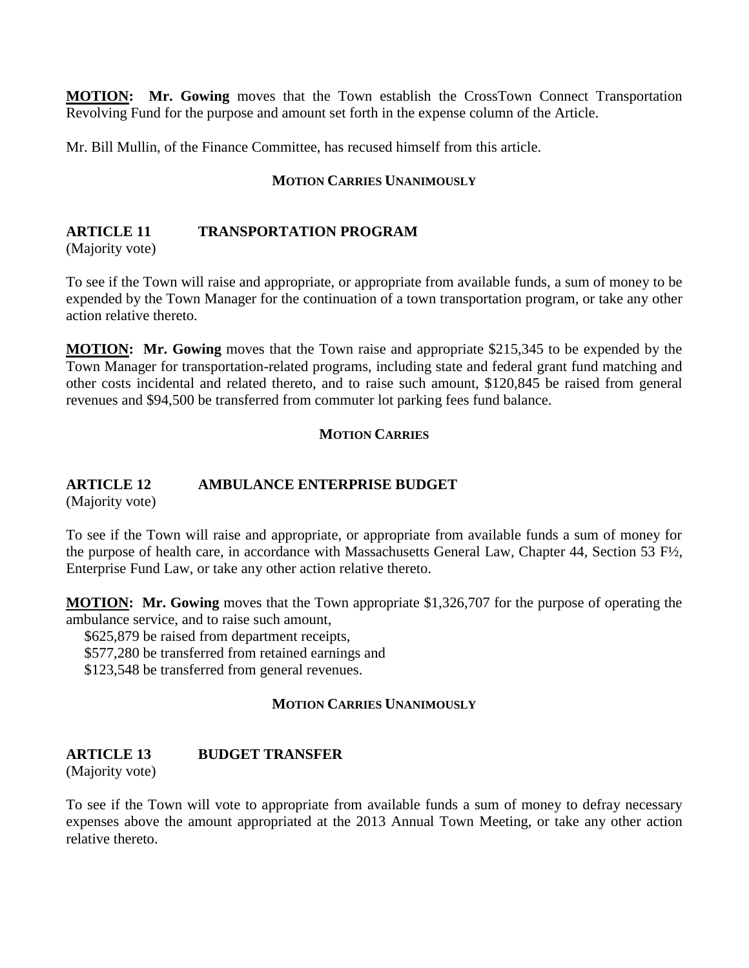**MOTION: Mr. Gowing** moves that the Town establish the CrossTown Connect Transportation Revolving Fund for the purpose and amount set forth in the expense column of the Article.

Mr. Bill Mullin, of the Finance Committee, has recused himself from this article.

#### **MOTION CARRIES UNANIMOUSLY**

## **ARTICLE 11 TRANSPORTATION PROGRAM**

(Majority vote)

To see if the Town will raise and appropriate, or appropriate from available funds, a sum of money to be expended by the Town Manager for the continuation of a town transportation program, or take any other action relative thereto.

**MOTION: Mr. Gowing** moves that the Town raise and appropriate \$215,345 to be expended by the Town Manager for transportation-related programs, including state and federal grant fund matching and other costs incidental and related thereto, and to raise such amount, \$120,845 be raised from general revenues and \$94,500 be transferred from commuter lot parking fees fund balance.

## **MOTION CARRIES**

## **ARTICLE 12 AMBULANCE ENTERPRISE BUDGET**

(Majority vote)

To see if the Town will raise and appropriate, or appropriate from available funds a sum of money for the purpose of health care, in accordance with Massachusetts General Law, Chapter 44, Section 53 F½, Enterprise Fund Law, or take any other action relative thereto.

**MOTION: Mr. Gowing** moves that the Town appropriate \$1,326,707 for the purpose of operating the ambulance service, and to raise such amount,

\$625,879 be raised from department receipts,

\$577,280 be transferred from retained earnings and

\$123,548 be transferred from general revenues.

## **MOTION CARRIES UNANIMOUSLY**

## **ARTICLE 13 BUDGET TRANSFER**

(Majority vote)

To see if the Town will vote to appropriate from available funds a sum of money to defray necessary expenses above the amount appropriated at the 2013 Annual Town Meeting, or take any other action relative thereto.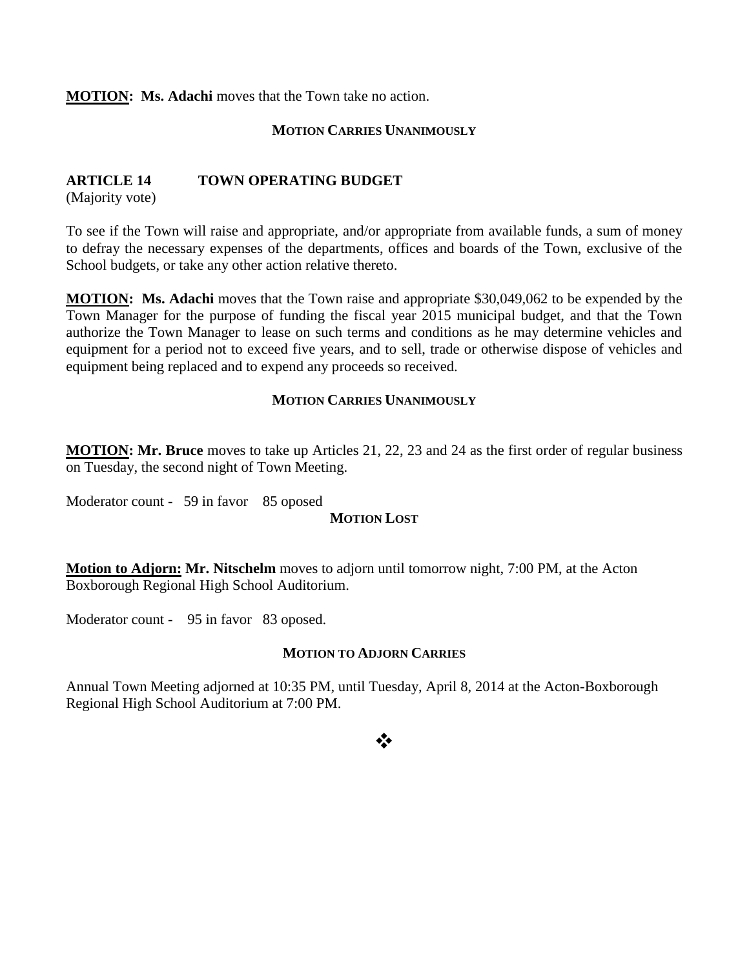**MOTION: Ms. Adachi** moves that the Town take no action.

## **MOTION CARRIES UNANIMOUSLY**

## **ARTICLE 14 TOWN OPERATING BUDGET**

(Majority vote)

To see if the Town will raise and appropriate, and/or appropriate from available funds, a sum of money to defray the necessary expenses of the departments, offices and boards of the Town, exclusive of the School budgets, or take any other action relative thereto.

**MOTION: Ms. Adachi** moves that the Town raise and appropriate \$30,049,062 to be expended by the Town Manager for the purpose of funding the fiscal year 2015 municipal budget, and that the Town authorize the Town Manager to lease on such terms and conditions as he may determine vehicles and equipment for a period not to exceed five years, and to sell, trade or otherwise dispose of vehicles and equipment being replaced and to expend any proceeds so received.

## **MOTION CARRIES UNANIMOUSLY**

**MOTION: Mr. Bruce** moves to take up Articles 21, 22, 23 and 24 as the first order of regular business on Tuesday, the second night of Town Meeting.

Moderator count - 59 in favor 85 oposed

#### **MOTION LOST**

**Motion to Adjorn: Mr. Nitschelm** moves to adjorn until tomorrow night, 7:00 PM, at the Acton Boxborough Regional High School Auditorium.

Moderator count - 95 in favor 83 oposed.

#### **MOTION TO ADJORN CARRIES**

Annual Town Meeting adjorned at 10:35 PM, until Tuesday, April 8, 2014 at the Acton-Boxborough Regional High School Auditorium at 7:00 PM.

## ❖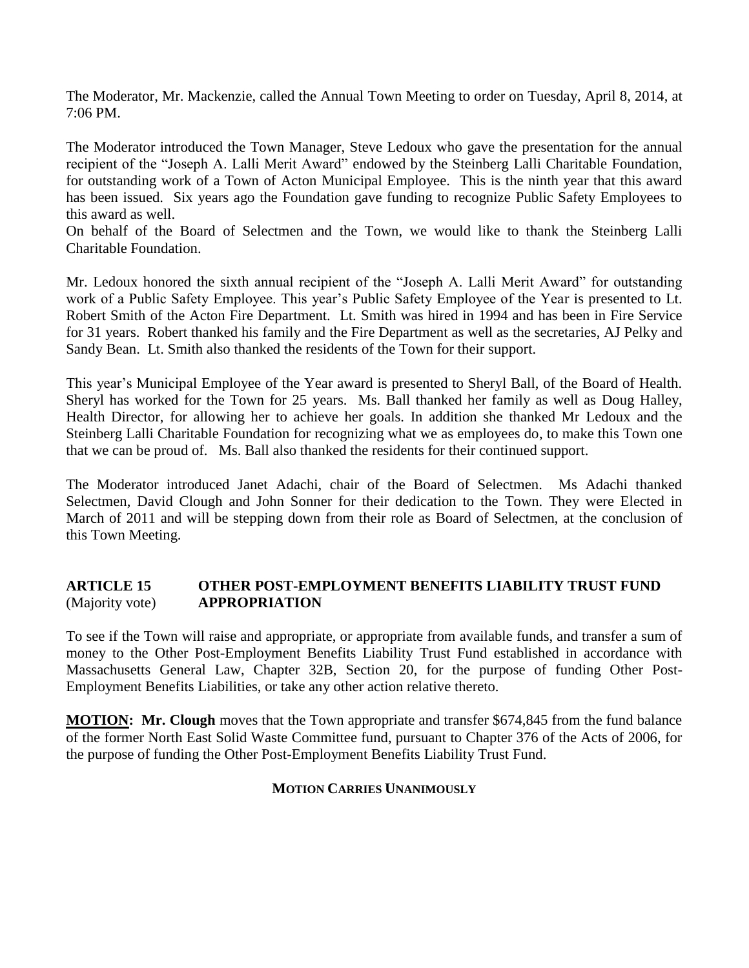The Moderator, Mr. Mackenzie, called the Annual Town Meeting to order on Tuesday, April 8, 2014, at 7:06 PM.

The Moderator introduced the Town Manager, Steve Ledoux who gave the presentation for the annual recipient of the "Joseph A. Lalli Merit Award" endowed by the Steinberg Lalli Charitable Foundation, for outstanding work of a Town of Acton Municipal Employee. This is the ninth year that this award has been issued. Six years ago the Foundation gave funding to recognize Public Safety Employees to this award as well.

On behalf of the Board of Selectmen and the Town, we would like to thank the Steinberg Lalli Charitable Foundation.

Mr. Ledoux honored the sixth annual recipient of the "Joseph A. Lalli Merit Award" for outstanding work of a Public Safety Employee. This year's Public Safety Employee of the Year is presented to Lt. Robert Smith of the Acton Fire Department. Lt. Smith was hired in 1994 and has been in Fire Service for 31 years. Robert thanked his family and the Fire Department as well as the secretaries, AJ Pelky and Sandy Bean. Lt. Smith also thanked the residents of the Town for their support.

This year's Municipal Employee of the Year award is presented to Sheryl Ball, of the Board of Health. Sheryl has worked for the Town for 25 years. Ms. Ball thanked her family as well as Doug Halley, Health Director, for allowing her to achieve her goals. In addition she thanked Mr Ledoux and the Steinberg Lalli Charitable Foundation for recognizing what we as employees do, to make this Town one that we can be proud of. Ms. Ball also thanked the residents for their continued support.

The Moderator introduced Janet Adachi, chair of the Board of Selectmen. Ms Adachi thanked Selectmen, David Clough and John Sonner for their dedication to the Town. They were Elected in March of 2011 and will be stepping down from their role as Board of Selectmen, at the conclusion of this Town Meeting.

## **ARTICLE 15 OTHER POST-EMPLOYMENT BENEFITS LIABILITY TRUST FUND** (Majority vote) **APPROPRIATION**

To see if the Town will raise and appropriate, or appropriate from available funds, and transfer a sum of money to the Other Post-Employment Benefits Liability Trust Fund established in accordance with Massachusetts General Law, Chapter 32B, Section 20, for the purpose of funding Other Post-Employment Benefits Liabilities, or take any other action relative thereto.

**MOTION: Mr. Clough** moves that the Town appropriate and transfer \$674,845 from the fund balance of the former North East Solid Waste Committee fund, pursuant to Chapter 376 of the Acts of 2006, for the purpose of funding the Other Post-Employment Benefits Liability Trust Fund.

#### **MOTION CARRIES UNANIMOUSLY**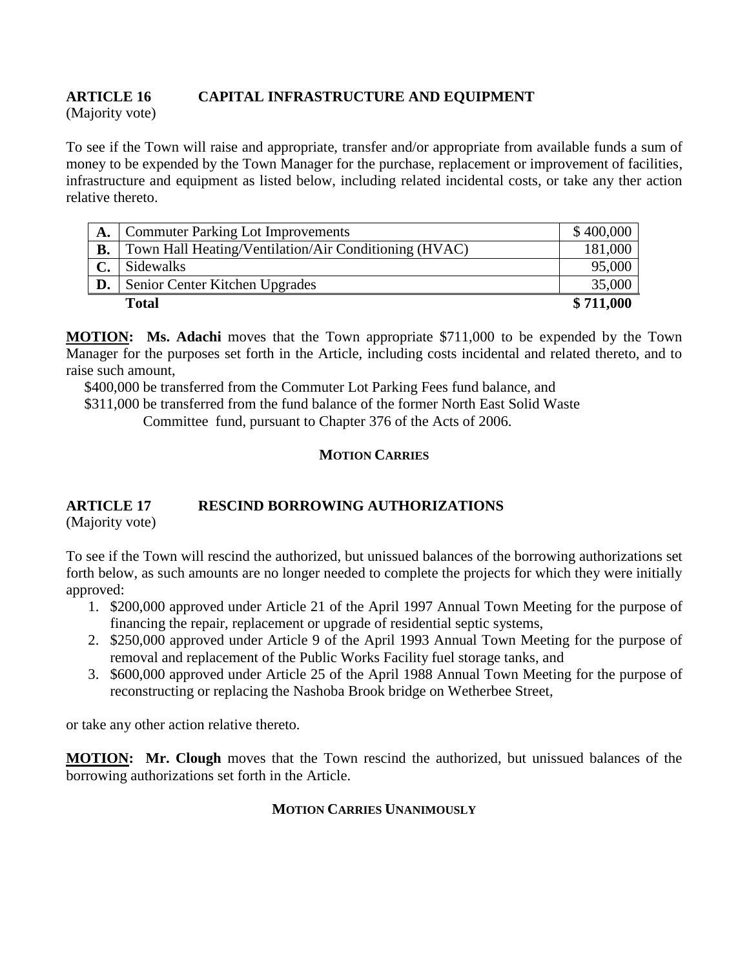## **ARTICLE 16 CAPITAL INFRASTRUCTURE AND EQUIPMENT**

(Majority vote)

To see if the Town will raise and appropriate, transfer and/or appropriate from available funds a sum of money to be expended by the Town Manager for the purchase, replacement or improvement of facilities, infrastructure and equipment as listed below, including related incidental costs, or take any ther action relative thereto.

| A.        | <b>Commuter Parking Lot Improvements</b>              | \$400,000 |
|-----------|-------------------------------------------------------|-----------|
| <b>B.</b> | Town Hall Heating/Ventilation/Air Conditioning (HVAC) | 181,000   |
|           | Sidewalks                                             | 95,000    |
| D.        | Senior Center Kitchen Upgrades                        | 35,000    |
|           | <b>Total</b>                                          | \$711,000 |

**MOTION: Ms. Adachi** moves that the Town appropriate \$711,000 to be expended by the Town Manager for the purposes set forth in the Article, including costs incidental and related thereto, and to raise such amount,

\$400,000 be transferred from the Commuter Lot Parking Fees fund balance, and

\$311,000 be transferred from the fund balance of the former North East Solid Waste

Committee fund, pursuant to Chapter 376 of the Acts of 2006.

## **MOTION CARRIES**

## **ARTICLE 17 RESCIND BORROWING AUTHORIZATIONS**

(Majority vote)

To see if the Town will rescind the authorized, but unissued balances of the borrowing authorizations set forth below, as such amounts are no longer needed to complete the projects for which they were initially approved:

- 1. \$200,000 approved under Article 21 of the April 1997 Annual Town Meeting for the purpose of financing the repair, replacement or upgrade of residential septic systems,
- 2. \$250,000 approved under Article 9 of the April 1993 Annual Town Meeting for the purpose of removal and replacement of the Public Works Facility fuel storage tanks, and
- 3. \$600,000 approved under Article 25 of the April 1988 Annual Town Meeting for the purpose of reconstructing or replacing the Nashoba Brook bridge on Wetherbee Street,

or take any other action relative thereto.

**MOTION: Mr. Clough** moves that the Town rescind the authorized, but unissued balances of the borrowing authorizations set forth in the Article.

## **MOTION CARRIES UNANIMOUSLY**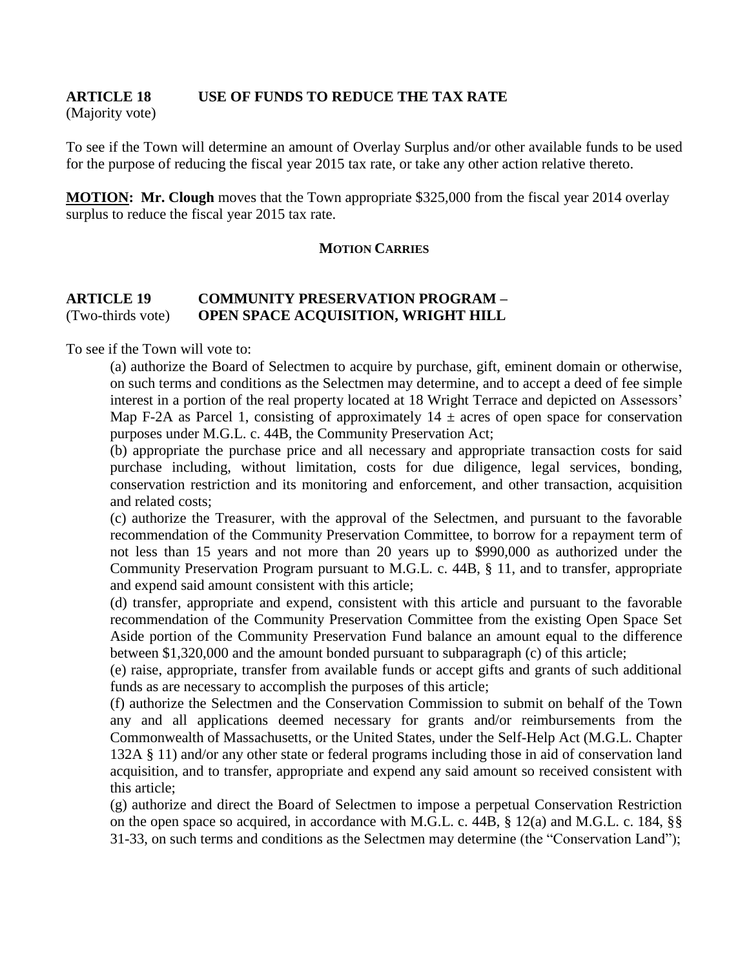#### **ARTICLE 18 USE OF FUNDS TO REDUCE THE TAX RATE** (Majority vote)

To see if the Town will determine an amount of Overlay Surplus and/or other available funds to be used for the purpose of reducing the fiscal year 2015 tax rate, or take any other action relative thereto.

**MOTION: Mr. Clough** moves that the Town appropriate \$325,000 from the fiscal year 2014 overlay surplus to reduce the fiscal year 2015 tax rate.

#### **MOTION CARRIES**

## **ARTICLE 19 COMMUNITY PRESERVATION PROGRAM –** (Two-thirds vote) **OPEN SPACE ACQUISITION, WRIGHT HILL**

To see if the Town will vote to:

(a) authorize the Board of Selectmen to acquire by purchase, gift, eminent domain or otherwise, on such terms and conditions as the Selectmen may determine, and to accept a deed of fee simple interest in a portion of the real property located at 18 Wright Terrace and depicted on Assessors' Map F-2A as Parcel 1, consisting of approximately  $14 \pm \text{ acres}$  of open space for conservation purposes under M.G.L. c. 44B, the Community Preservation Act;

(b) appropriate the purchase price and all necessary and appropriate transaction costs for said purchase including, without limitation, costs for due diligence, legal services, bonding, conservation restriction and its monitoring and enforcement, and other transaction, acquisition and related costs;

(c) authorize the Treasurer, with the approval of the Selectmen, and pursuant to the favorable recommendation of the Community Preservation Committee, to borrow for a repayment term of not less than 15 years and not more than 20 years up to \$990,000 as authorized under the Community Preservation Program pursuant to M.G.L. c. 44B, § 11, and to transfer, appropriate and expend said amount consistent with this article;

(d) transfer, appropriate and expend, consistent with this article and pursuant to the favorable recommendation of the Community Preservation Committee from the existing Open Space Set Aside portion of the Community Preservation Fund balance an amount equal to the difference between \$1,320,000 and the amount bonded pursuant to subparagraph (c) of this article;

(e) raise, appropriate, transfer from available funds or accept gifts and grants of such additional funds as are necessary to accomplish the purposes of this article;

(f) authorize the Selectmen and the Conservation Commission to submit on behalf of the Town any and all applications deemed necessary for grants and/or reimbursements from the Commonwealth of Massachusetts, or the United States, under the Self-Help Act (M.G.L. Chapter 132A § 11) and/or any other state or federal programs including those in aid of conservation land acquisition, and to transfer, appropriate and expend any said amount so received consistent with this article;

(g) authorize and direct the Board of Selectmen to impose a perpetual Conservation Restriction on the open space so acquired, in accordance with M.G.L. c. 44B, § 12(a) and M.G.L. c. 184, §§ 31-33, on such terms and conditions as the Selectmen may determine (the "Conservation Land");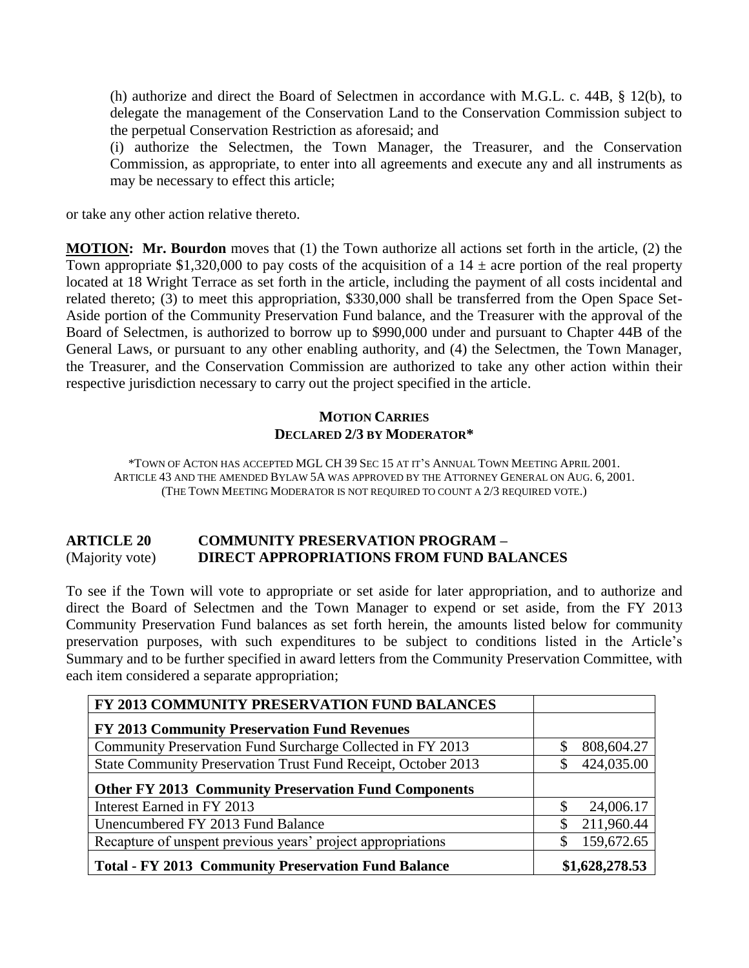(h) authorize and direct the Board of Selectmen in accordance with M.G.L. c. 44B, § 12(b), to delegate the management of the Conservation Land to the Conservation Commission subject to the perpetual Conservation Restriction as aforesaid; and

(i) authorize the Selectmen, the Town Manager, the Treasurer, and the Conservation Commission, as appropriate, to enter into all agreements and execute any and all instruments as may be necessary to effect this article;

or take any other action relative thereto.

**MOTION: Mr. Bourdon** moves that (1) the Town authorize all actions set forth in the article, (2) the Town appropriate \$1,320,000 to pay costs of the acquisition of a  $14 \pm$  acre portion of the real property located at 18 Wright Terrace as set forth in the article, including the payment of all costs incidental and related thereto; (3) to meet this appropriation, \$330,000 shall be transferred from the Open Space Set-Aside portion of the Community Preservation Fund balance, and the Treasurer with the approval of the Board of Selectmen, is authorized to borrow up to \$990,000 under and pursuant to Chapter 44B of the General Laws, or pursuant to any other enabling authority, and (4) the Selectmen, the Town Manager, the Treasurer, and the Conservation Commission are authorized to take any other action within their respective jurisdiction necessary to carry out the project specified in the article.

## **MOTION CARRIES DECLARED 2/3 BY MODERATOR\***

\*TOWN OF ACTON HAS ACCEPTED MGL CH 39 SEC 15 AT IT'S ANNUAL TOWN MEETING APRIL 2001. ARTICLE 43 AND THE AMENDED BYLAW 5A WAS APPROVED BY THE ATTORNEY GENERAL ON AUG. 6, 2001. (THE TOWN MEETING MODERATOR IS NOT REQUIRED TO COUNT A 2/3 REQUIRED VOTE.)

## **ARTICLE 20 COMMUNITY PRESERVATION PROGRAM –** (Majority vote) **DIRECT APPROPRIATIONS FROM FUND BALANCES**

To see if the Town will vote to appropriate or set aside for later appropriation, and to authorize and direct the Board of Selectmen and the Town Manager to expend or set aside, from the FY 2013 Community Preservation Fund balances as set forth herein, the amounts listed below for community preservation purposes, with such expenditures to be subject to conditions listed in the Article's Summary and to be further specified in award letters from the Community Preservation Committee, with each item considered a separate appropriation;

| FY 2013 COMMUNITY PRESERVATION FUND BALANCES                  |                            |
|---------------------------------------------------------------|----------------------------|
| FY 2013 Community Preservation Fund Revenues                  |                            |
| Community Preservation Fund Surcharge Collected in FY 2013    | 808,604.27<br>\$           |
| State Community Preservation Trust Fund Receipt, October 2013 | 424,035.00<br>S            |
| <b>Other FY 2013 Community Preservation Fund Components</b>   |                            |
| Interest Earned in FY 2013                                    | 24,006.17                  |
| Unencumbered FY 2013 Fund Balance                             | 211,960.44<br><sup>S</sup> |
| Recapture of unspent previous years' project appropriations   | 159,672.65<br>S            |
| <b>Total - FY 2013 Community Preservation Fund Balance</b>    | \$1,628,278.53             |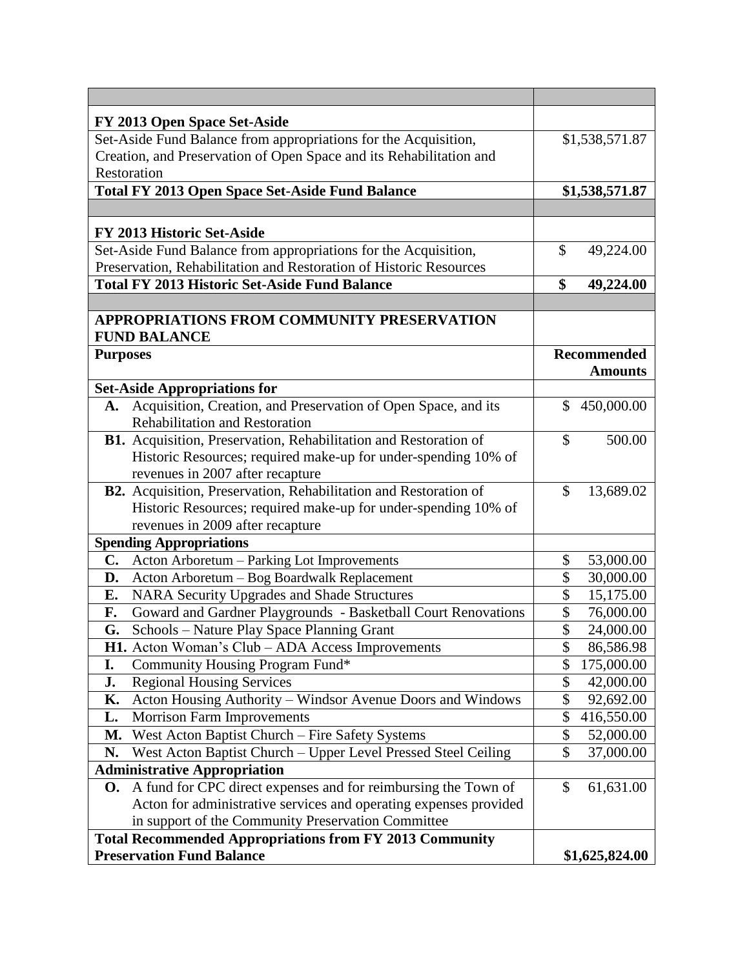| FY 2013 Open Space Set-Aside                                         |                            |
|----------------------------------------------------------------------|----------------------------|
| Set-Aside Fund Balance from appropriations for the Acquisition,      | \$1,538,571.87             |
| Creation, and Preservation of Open Space and its Rehabilitation and  |                            |
| Restoration                                                          |                            |
| <b>Total FY 2013 Open Space Set-Aside Fund Balance</b>               | \$1,538,571.87             |
|                                                                      |                            |
| <b>FY 2013 Historic Set-Aside</b>                                    |                            |
| Set-Aside Fund Balance from appropriations for the Acquisition,      | \$<br>49,224.00            |
| Preservation, Rehabilitation and Restoration of Historic Resources   |                            |
| <b>Total FY 2013 Historic Set-Aside Fund Balance</b>                 | \$<br>49,224.00            |
|                                                                      |                            |
| APPROPRIATIONS FROM COMMUNITY PRESERVATION<br><b>FUND BALANCE</b>    |                            |
| <b>Purposes</b>                                                      | <b>Recommended</b>         |
|                                                                      | <b>Amounts</b>             |
| <b>Set-Aside Appropriations for</b>                                  |                            |
| Acquisition, Creation, and Preservation of Open Space, and its<br>A. | \$<br>450,000.00           |
| <b>Rehabilitation and Restoration</b>                                |                            |
| B1. Acquisition, Preservation, Rehabilitation and Restoration of     | 500.00<br>\$               |
| Historic Resources; required make-up for under-spending 10% of       |                            |
| revenues in 2007 after recapture                                     |                            |
| B2. Acquisition, Preservation, Rehabilitation and Restoration of     | 13,689.02<br>$\mathcal{S}$ |
| Historic Resources; required make-up for under-spending 10% of       |                            |
| revenues in 2009 after recapture                                     |                            |
| <b>Spending Appropriations</b>                                       |                            |
| Acton Arboretum - Parking Lot Improvements<br>C.                     | \$<br>53,000.00            |
| Acton Arboretum - Bog Boardwalk Replacement<br>D.                    | \$<br>30,000.00            |
| E.<br><b>NARA Security Upgrades and Shade Structures</b>             | \$<br>15,175.00            |
| Goward and Gardner Playgrounds - Basketball Court Renovations<br>F.  | \$<br>76,000.00            |
| Schools – Nature Play Space Planning Grant<br>G.                     | \$<br>24,000.00            |
| H1. Acton Woman's Club - ADA Access Improvements                     | \$<br>86,586.98            |
| Community Housing Program Fund*<br>I.                                | \$<br>175,000.00           |
| <b>Regional Housing Services</b><br>J.                               | \$<br>42,000.00            |
| Acton Housing Authority - Windsor Avenue Doors and Windows<br>К.     | \$<br>92,692.00            |
| <b>Morrison Farm Improvements</b><br>L.                              | \$<br>416,550.00           |
| West Acton Baptist Church - Fire Safety Systems<br>М.                | \$<br>52,000.00            |
| West Acton Baptist Church - Upper Level Pressed Steel Ceiling<br>N.  | \$<br>37,000.00            |
| <b>Administrative Appropriation</b>                                  |                            |
| A fund for CPC direct expenses and for reimbursing the Town of<br>O. | \$<br>61,631.00            |
| Acton for administrative services and operating expenses provided    |                            |
| in support of the Community Preservation Committee                   |                            |
| <b>Total Recommended Appropriations from FY 2013 Community</b>       |                            |
| <b>Preservation Fund Balance</b>                                     | \$1,625,824.00             |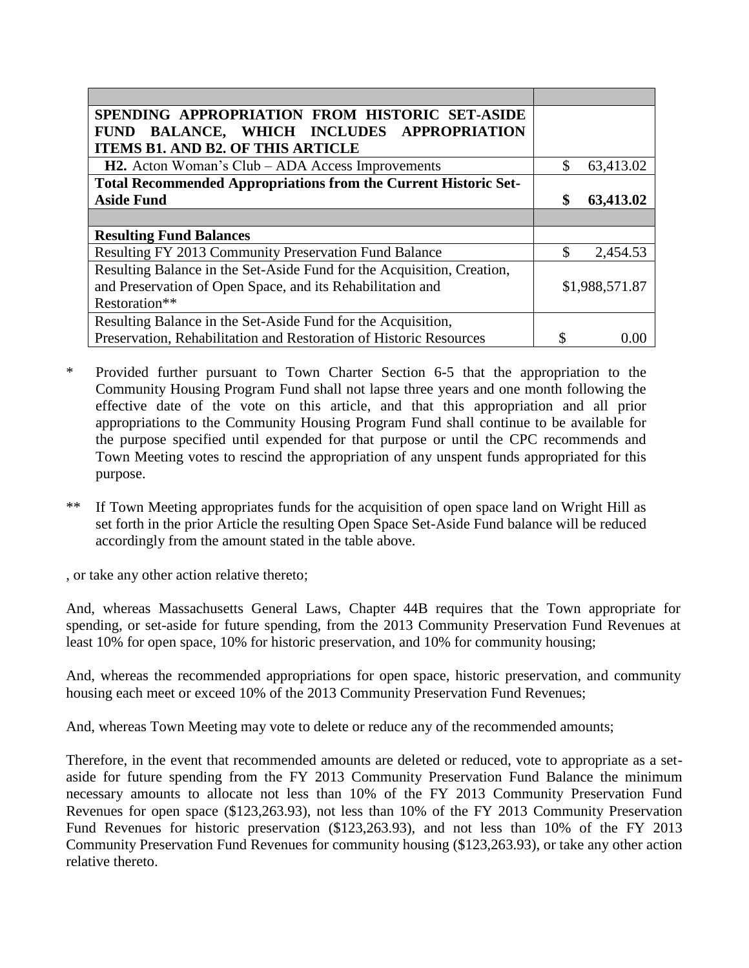| SPENDING APPROPRIATION FROM HISTORIC SET-ASIDE                         |                 |
|------------------------------------------------------------------------|-----------------|
| BALANCE, WHICH INCLUDES APPROPRIATION<br><b>FUND</b>                   |                 |
| <b>ITEMS B1. AND B2. OF THIS ARTICLE</b>                               |                 |
| <b>H2.</b> Acton Woman's Club – ADA Access Improvements                | 63,413.02       |
| Total Recommended Appropriations from the Current Historic Set-        |                 |
| <b>Aside Fund</b>                                                      | \$<br>63,413.02 |
|                                                                        |                 |
| <b>Resulting Fund Balances</b>                                         |                 |
| Resulting FY 2013 Community Preservation Fund Balance                  | 2,454.53        |
| Resulting Balance in the Set-Aside Fund for the Acquisition, Creation, |                 |
| and Preservation of Open Space, and its Rehabilitation and             | \$1,988,571.87  |
| Restoration**                                                          |                 |
| Resulting Balance in the Set-Aside Fund for the Acquisition,           |                 |
| Preservation, Rehabilitation and Restoration of Historic Resources     |                 |

- \* Provided further pursuant to Town Charter Section 6-5 that the appropriation to the Community Housing Program Fund shall not lapse three years and one month following the effective date of the vote on this article, and that this appropriation and all prior appropriations to the Community Housing Program Fund shall continue to be available for the purpose specified until expended for that purpose or until the CPC recommends and Town Meeting votes to rescind the appropriation of any unspent funds appropriated for this purpose.
- \*\* If Town Meeting appropriates funds for the acquisition of open space land on Wright Hill as set forth in the prior Article the resulting Open Space Set-Aside Fund balance will be reduced accordingly from the amount stated in the table above.

, or take any other action relative thereto;

And, whereas Massachusetts General Laws, Chapter 44B requires that the Town appropriate for spending, or set-aside for future spending, from the 2013 Community Preservation Fund Revenues at least 10% for open space, 10% for historic preservation, and 10% for community housing;

And, whereas the recommended appropriations for open space, historic preservation, and community housing each meet or exceed 10% of the 2013 Community Preservation Fund Revenues;

And, whereas Town Meeting may vote to delete or reduce any of the recommended amounts;

Therefore, in the event that recommended amounts are deleted or reduced, vote to appropriate as a setaside for future spending from the FY 2013 Community Preservation Fund Balance the minimum necessary amounts to allocate not less than 10% of the FY 2013 Community Preservation Fund Revenues for open space (\$123,263.93), not less than 10% of the FY 2013 Community Preservation Fund Revenues for historic preservation (\$123,263.93), and not less than 10% of the FY 2013 Community Preservation Fund Revenues for community housing (\$123,263.93), or take any other action relative thereto.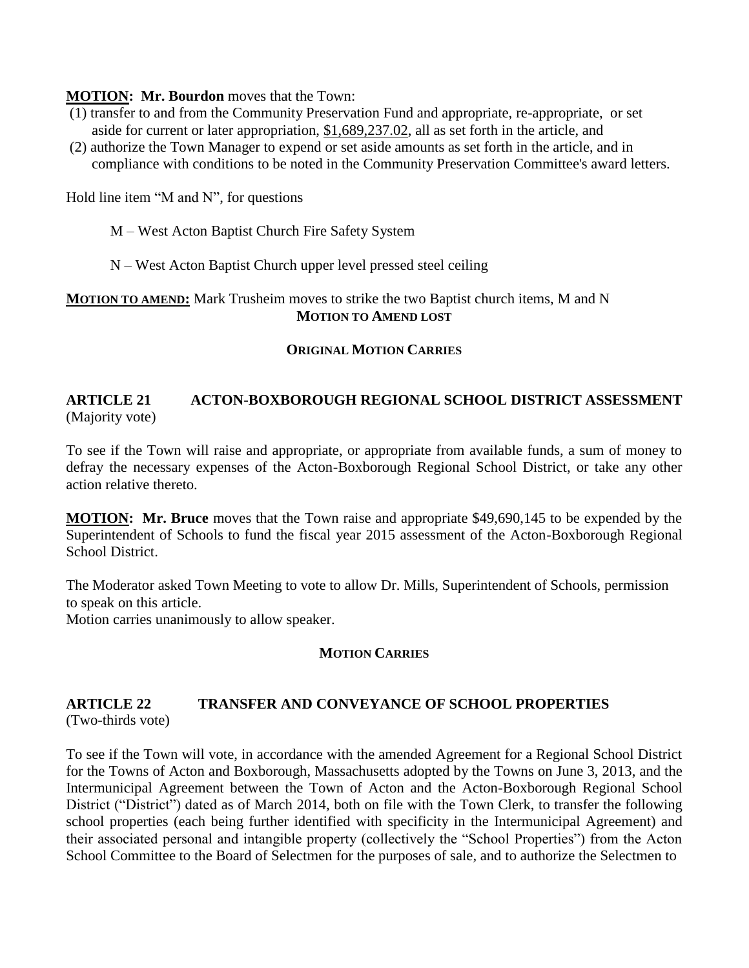#### **MOTION: Mr. Bourdon** moves that the Town:

- (1) transfer to and from the Community Preservation Fund and appropriate, re-appropriate, or set aside for current or later appropriation, \$1,689,237.02, all as set forth in the article, and
- (2) authorize the Town Manager to expend or set aside amounts as set forth in the article, and in compliance with conditions to be noted in the Community Preservation Committee's award letters.

Hold line item "M and N", for questions

- M West Acton Baptist Church Fire Safety System
- N West Acton Baptist Church upper level pressed steel ceiling

## **MOTION TO AMEND:** Mark Trusheim moves to strike the two Baptist church items, M and N **MOTION TO AMEND LOST**

#### **ORIGINAL MOTION CARRIES**

## **ARTICLE 21 ACTON-BOXBOROUGH REGIONAL SCHOOL DISTRICT ASSESSMENT** (Majority vote)

To see if the Town will raise and appropriate, or appropriate from available funds, a sum of money to defray the necessary expenses of the Acton-Boxborough Regional School District, or take any other action relative thereto.

**MOTION: Mr. Bruce** moves that the Town raise and appropriate \$49,690,145 to be expended by the Superintendent of Schools to fund the fiscal year 2015 assessment of the Acton-Boxborough Regional School District.

The Moderator asked Town Meeting to vote to allow Dr. Mills, Superintendent of Schools, permission to speak on this article.

Motion carries unanimously to allow speaker.

#### **MOTION CARRIES**

#### **ARTICLE 22 TRANSFER AND CONVEYANCE OF SCHOOL PROPERTIES** (Two-thirds vote)

To see if the Town will vote, in accordance with the amended Agreement for a Regional School District for the Towns of Acton and Boxborough, Massachusetts adopted by the Towns on June 3, 2013, and the Intermunicipal Agreement between the Town of Acton and the Acton-Boxborough Regional School District ("District") dated as of March 2014, both on file with the Town Clerk, to transfer the following school properties (each being further identified with specificity in the Intermunicipal Agreement) and their associated personal and intangible property (collectively the "School Properties") from the Acton School Committee to the Board of Selectmen for the purposes of sale, and to authorize the Selectmen to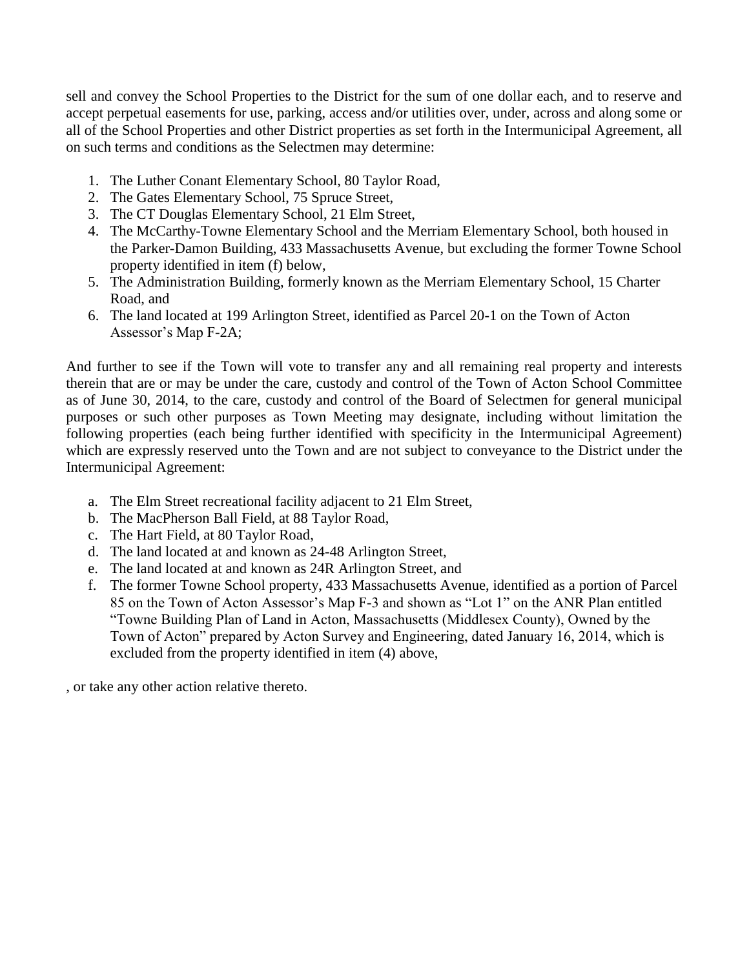sell and convey the School Properties to the District for the sum of one dollar each, and to reserve and accept perpetual easements for use, parking, access and/or utilities over, under, across and along some or all of the School Properties and other District properties as set forth in the Intermunicipal Agreement, all on such terms and conditions as the Selectmen may determine:

- 1. The Luther Conant Elementary School, 80 Taylor Road,
- 2. The Gates Elementary School, 75 Spruce Street,
- 3. The CT Douglas Elementary School, 21 Elm Street,
- 4. The McCarthy-Towne Elementary School and the Merriam Elementary School, both housed in the Parker-Damon Building, 433 Massachusetts Avenue, but excluding the former Towne School property identified in item (f) below,
- 5. The Administration Building, formerly known as the Merriam Elementary School, 15 Charter Road, and
- 6. The land located at 199 Arlington Street, identified as Parcel 20-1 on the Town of Acton Assessor's Map F-2A;

And further to see if the Town will vote to transfer any and all remaining real property and interests therein that are or may be under the care, custody and control of the Town of Acton School Committee as of June 30, 2014, to the care, custody and control of the Board of Selectmen for general municipal purposes or such other purposes as Town Meeting may designate, including without limitation the following properties (each being further identified with specificity in the Intermunicipal Agreement) which are expressly reserved unto the Town and are not subject to conveyance to the District under the Intermunicipal Agreement:

- a. The Elm Street recreational facility adjacent to 21 Elm Street,
- b. The MacPherson Ball Field, at 88 Taylor Road,
- c. The Hart Field, at 80 Taylor Road,
- d. The land located at and known as 24-48 Arlington Street,
- e. The land located at and known as 24R Arlington Street, and
- f. The former Towne School property, 433 Massachusetts Avenue, identified as a portion of Parcel 85 on the Town of Acton Assessor's Map F-3 and shown as "Lot 1" on the ANR Plan entitled "Towne Building Plan of Land in Acton, Massachusetts (Middlesex County), Owned by the Town of Acton" prepared by Acton Survey and Engineering, dated January 16, 2014, which is excluded from the property identified in item (4) above,

, or take any other action relative thereto.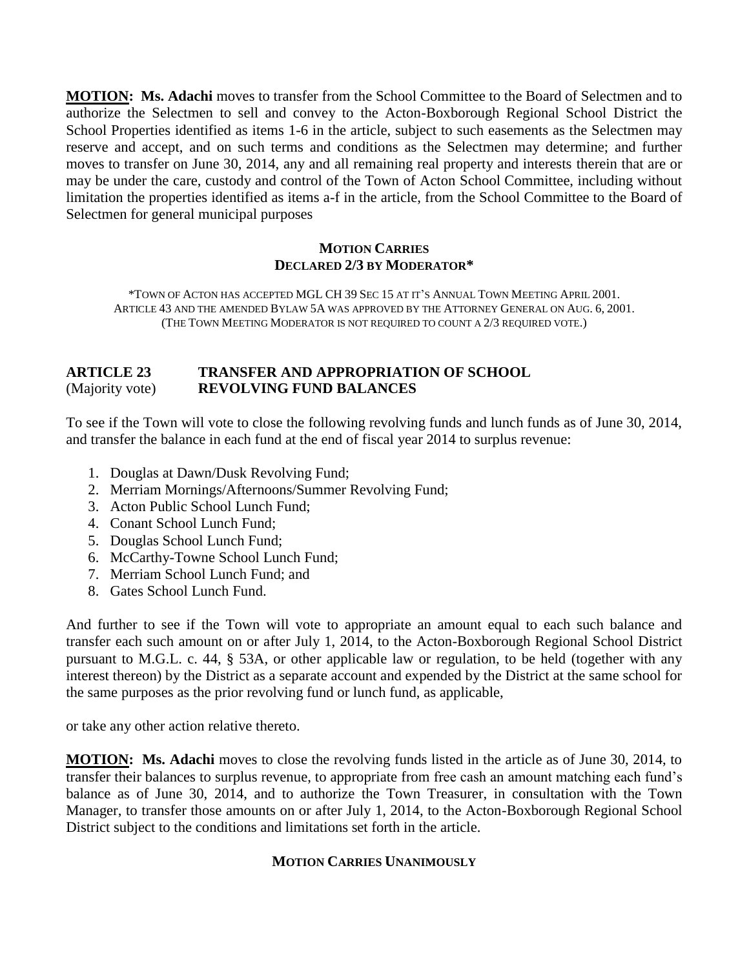**MOTION: Ms. Adachi** moves to transfer from the School Committee to the Board of Selectmen and to authorize the Selectmen to sell and convey to the Acton-Boxborough Regional School District the School Properties identified as items 1-6 in the article, subject to such easements as the Selectmen may reserve and accept, and on such terms and conditions as the Selectmen may determine; and further moves to transfer on June 30, 2014, any and all remaining real property and interests therein that are or may be under the care, custody and control of the Town of Acton School Committee, including without limitation the properties identified as items a-f in the article, from the School Committee to the Board of Selectmen for general municipal purposes

## **MOTION CARRIES DECLARED 2/3 BY MODERATOR\***

\*TOWN OF ACTON HAS ACCEPTED MGL CH 39 SEC 15 AT IT'S ANNUAL TOWN MEETING APRIL 2001. ARTICLE 43 AND THE AMENDED BYLAW 5A WAS APPROVED BY THE ATTORNEY GENERAL ON AUG. 6, 2001. (THE TOWN MEETING MODERATOR IS NOT REQUIRED TO COUNT A 2/3 REQUIRED VOTE.)

## **ARTICLE 23 TRANSFER AND APPROPRIATION OF SCHOOL**  (Majority vote) **REVOLVING FUND BALANCES**

To see if the Town will vote to close the following revolving funds and lunch funds as of June 30, 2014, and transfer the balance in each fund at the end of fiscal year 2014 to surplus revenue:

- 1. Douglas at Dawn/Dusk Revolving Fund;
- 2. Merriam Mornings/Afternoons/Summer Revolving Fund;
- 3. Acton Public School Lunch Fund;
- 4. Conant School Lunch Fund;
- 5. Douglas School Lunch Fund;
- 6. McCarthy-Towne School Lunch Fund;
- 7. Merriam School Lunch Fund; and
- 8. Gates School Lunch Fund.

And further to see if the Town will vote to appropriate an amount equal to each such balance and transfer each such amount on or after July 1, 2014, to the Acton-Boxborough Regional School District pursuant to M.G.L. c. 44, § 53A, or other applicable law or regulation, to be held (together with any interest thereon) by the District as a separate account and expended by the District at the same school for the same purposes as the prior revolving fund or lunch fund, as applicable,

or take any other action relative thereto.

**MOTION: Ms. Adachi** moves to close the revolving funds listed in the article as of June 30, 2014, to transfer their balances to surplus revenue, to appropriate from free cash an amount matching each fund's balance as of June 30, 2014, and to authorize the Town Treasurer, in consultation with the Town Manager, to transfer those amounts on or after July 1, 2014, to the Acton-Boxborough Regional School District subject to the conditions and limitations set forth in the article.

#### **MOTION CARRIES UNANIMOUSLY**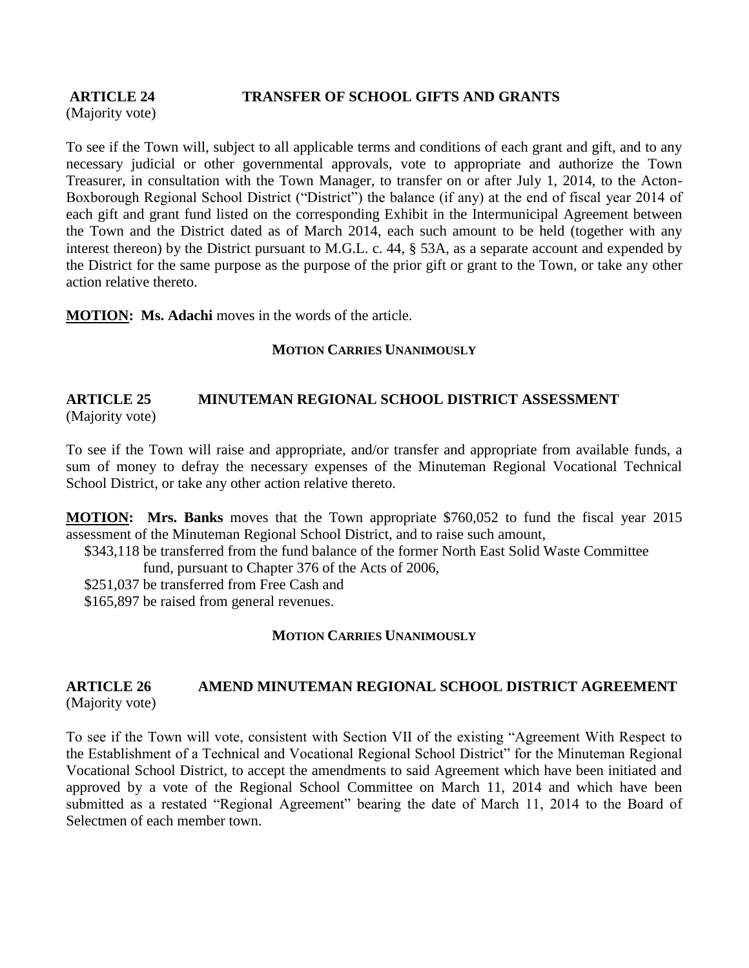## **ARTICLE 24 TRANSFER OF SCHOOL GIFTS AND GRANTS**

(Majority vote)

To see if the Town will, subject to all applicable terms and conditions of each grant and gift, and to any necessary judicial or other governmental approvals, vote to appropriate and authorize the Town Treasurer, in consultation with the Town Manager, to transfer on or after July 1, 2014, to the Acton-Boxborough Regional School District ("District") the balance (if any) at the end of fiscal year 2014 of each gift and grant fund listed on the corresponding Exhibit in the Intermunicipal Agreement between the Town and the District dated as of March 2014, each such amount to be held (together with any interest thereon) by the District pursuant to M.G.L. c. 44, § 53A, as a separate account and expended by the District for the same purpose as the purpose of the prior gift or grant to the Town, or take any other action relative thereto.

**MOTION: Ms. Adachi** moves in the words of the article.

## **MOTION CARRIES UNANIMOUSLY**

#### **ARTICLE 25 MINUTEMAN REGIONAL SCHOOL DISTRICT ASSESSMENT** (Majority vote)

To see if the Town will raise and appropriate, and/or transfer and appropriate from available funds, a sum of money to defray the necessary expenses of the Minuteman Regional Vocational Technical School District, or take any other action relative thereto.

**MOTION: Mrs. Banks** moves that the Town appropriate \$760,052 to fund the fiscal year 2015 assessment of the Minuteman Regional School District, and to raise such amount,

\$343,118 be transferred from the fund balance of the former North East Solid Waste Committee

fund, pursuant to Chapter 376 of the Acts of 2006,

\$251,037 be transferred from Free Cash and

\$165,897 be raised from general revenues.

## **MOTION CARRIES UNANIMOUSLY**

## **ARTICLE 26 AMEND MINUTEMAN REGIONAL SCHOOL DISTRICT AGREEMENT** (Majority vote)

To see if the Town will vote, consistent with Section VII of the existing "Agreement With Respect to the Establishment of a Technical and Vocational Regional School District" for the Minuteman Regional Vocational School District, to accept the amendments to said Agreement which have been initiated and approved by a vote of the Regional School Committee on March 11, 2014 and which have been submitted as a restated "Regional Agreement" bearing the date of March 11, 2014 to the Board of Selectmen of each member town.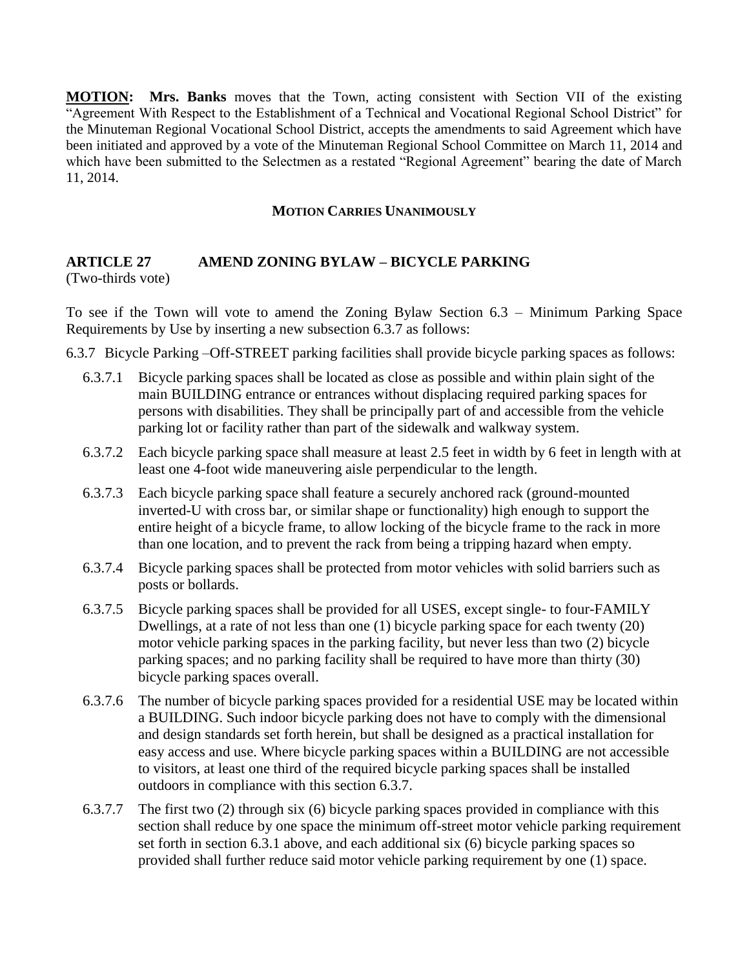**MOTION: Mrs. Banks** moves that the Town, acting consistent with Section VII of the existing "Agreement With Respect to the Establishment of a Technical and Vocational Regional School District" for the Minuteman Regional Vocational School District, accepts the amendments to said Agreement which have been initiated and approved by a vote of the Minuteman Regional School Committee on March 11, 2014 and which have been submitted to the Selectmen as a restated "Regional Agreement" bearing the date of March 11, 2014.

#### **MOTION CARRIES UNANIMOUSLY**

#### **ARTICLE 27 AMEND ZONING BYLAW – BICYCLE PARKING** (Two-thirds vote)

To see if the Town will vote to amend the Zoning Bylaw Section 6.3 – Minimum Parking Space Requirements by Use by inserting a new subsection 6.3.7 as follows:

- 6.3.7 Bicycle Parking –Off-STREET parking facilities shall provide bicycle parking spaces as follows:
	- 6.3.7.1 Bicycle parking spaces shall be located as close as possible and within plain sight of the main BUILDING entrance or entrances without displacing required parking spaces for persons with disabilities. They shall be principally part of and accessible from the vehicle parking lot or facility rather than part of the sidewalk and walkway system.
	- 6.3.7.2 Each bicycle parking space shall measure at least 2.5 feet in width by 6 feet in length with at least one 4-foot wide maneuvering aisle perpendicular to the length.
	- 6.3.7.3 Each bicycle parking space shall feature a securely anchored rack (ground-mounted inverted-U with cross bar, or similar shape or functionality) high enough to support the entire height of a bicycle frame, to allow locking of the bicycle frame to the rack in more than one location, and to prevent the rack from being a tripping hazard when empty.
	- 6.3.7.4 Bicycle parking spaces shall be protected from motor vehicles with solid barriers such as posts or bollards.
	- 6.3.7.5 Bicycle parking spaces shall be provided for all USES, except single- to four-FAMILY Dwellings, at a rate of not less than one (1) bicycle parking space for each twenty (20) motor vehicle parking spaces in the parking facility, but never less than two (2) bicycle parking spaces; and no parking facility shall be required to have more than thirty (30) bicycle parking spaces overall.
	- 6.3.7.6 The number of bicycle parking spaces provided for a residential USE may be located within a BUILDING. Such indoor bicycle parking does not have to comply with the dimensional and design standards set forth herein, but shall be designed as a practical installation for easy access and use. Where bicycle parking spaces within a BUILDING are not accessible to visitors, at least one third of the required bicycle parking spaces shall be installed outdoors in compliance with this section 6.3.7.
	- 6.3.7.7 The first two (2) through six (6) bicycle parking spaces provided in compliance with this section shall reduce by one space the minimum off-street motor vehicle parking requirement set forth in section 6.3.1 above, and each additional six (6) bicycle parking spaces so provided shall further reduce said motor vehicle parking requirement by one (1) space.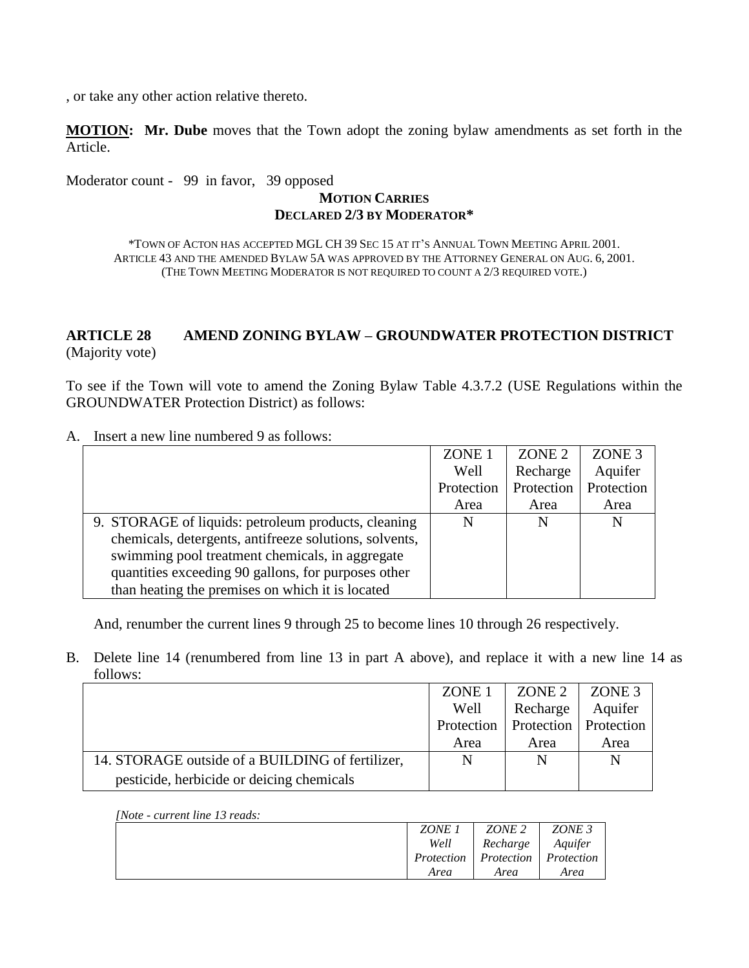, or take any other action relative thereto.

**MOTION: Mr. Dube** moves that the Town adopt the zoning bylaw amendments as set forth in the Article.

Moderator count - 99 in favor, 39 opposed

#### **MOTION CARRIES DECLARED 2/3 BY MODERATOR\***

\*TOWN OF ACTON HAS ACCEPTED MGL CH 39 SEC 15 AT IT'S ANNUAL TOWN MEETING APRIL 2001. ARTICLE 43 AND THE AMENDED BYLAW 5A WAS APPROVED BY THE ATTORNEY GENERAL ON AUG. 6, 2001. (THE TOWN MEETING MODERATOR IS NOT REQUIRED TO COUNT A 2/3 REQUIRED VOTE.)

## **ARTICLE 28 AMEND ZONING BYLAW – GROUNDWATER PROTECTION DISTRICT** (Majority vote)

To see if the Town will vote to amend the Zoning Bylaw Table 4.3.7.2 (USE Regulations within the GROUNDWATER Protection District) as follows:

A. Insert a new line numbered 9 as follows:

|                                                        | ZONE <sub>1</sub> | ZONE <sub>2</sub> | ZONE <sub>3</sub> |
|--------------------------------------------------------|-------------------|-------------------|-------------------|
|                                                        | Well              | Recharge          | Aquifer           |
|                                                        | Protection        | Protection        | Protection        |
|                                                        | Area              | Area              | Area              |
| 9. STORAGE of liquids: petroleum products, cleaning    | N                 | N                 | N                 |
| chemicals, detergents, antifreeze solutions, solvents, |                   |                   |                   |
| swimming pool treatment chemicals, in aggregate        |                   |                   |                   |
| quantities exceeding 90 gallons, for purposes other    |                   |                   |                   |
| than heating the premises on which it is located       |                   |                   |                   |

And, renumber the current lines 9 through 25 to become lines 10 through 26 respectively.

B. Delete line 14 (renumbered from line 13 in part A above), and replace it with a new line 14 as follows:

|                                                  | ZONE <sub>1</sub> | ZONE <sub>2</sub>       | ZONE 3  |
|--------------------------------------------------|-------------------|-------------------------|---------|
|                                                  | Well              | Recharge                | Aquifer |
|                                                  | Protection        | Protection   Protection |         |
|                                                  | Area              | Area                    | Area    |
| 14. STORAGE outside of a BUILDING of fertilizer, | N                 | N                       | N       |
| pesticide, herbicide or deicing chemicals        |                   |                         |         |

#### *[Note - current line 13 reads:*

| ZONE 1     | ZONE 2     | ZONE 3     |
|------------|------------|------------|
| Well       | Recharge   | Aquifer    |
| Protection | Protection | Protection |
| Area       | Area       | Area       |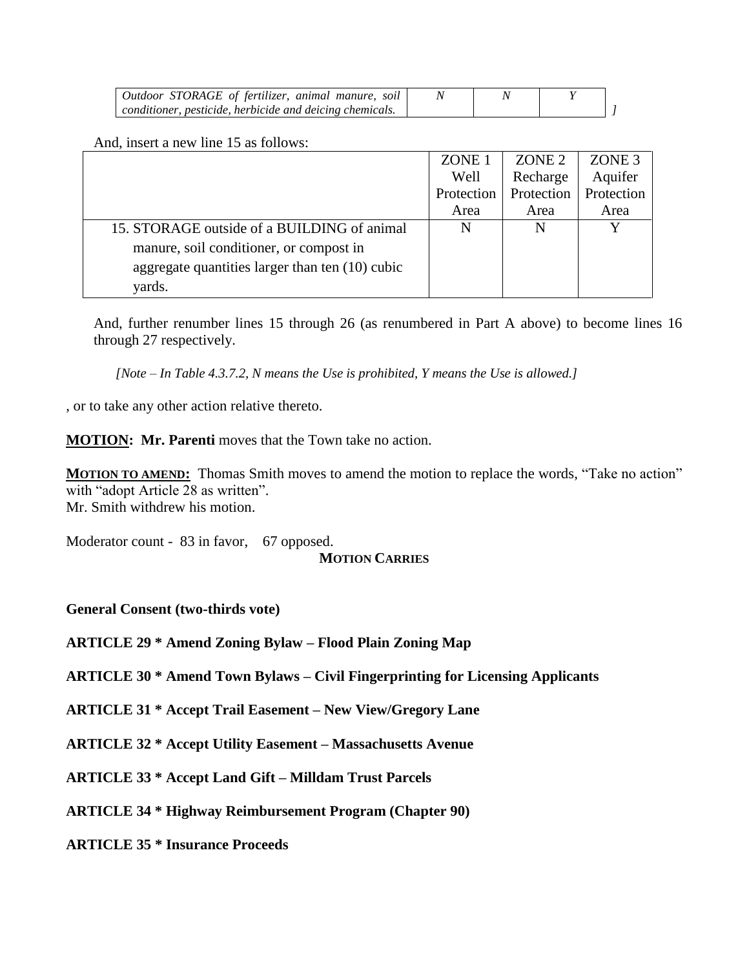| Outdoor STORAGE of fertilizer, animal manure, soil       |  |  |
|----------------------------------------------------------|--|--|
| conditioner, pesticide, herbicide and deicing chemicals. |  |  |

And, insert a new line 15 as follows:

|                                                 | ZONE <sub>1</sub> | ZONE <sub>2</sub> | ZONE 3     |
|-------------------------------------------------|-------------------|-------------------|------------|
|                                                 | Well              | Recharge          | Aquifer    |
|                                                 | Protection        | Protection        | Protection |
|                                                 | Area              | Area              | Area       |
| 15. STORAGE outside of a BUILDING of animal     | N                 | N                 |            |
| manure, soil conditioner, or compost in         |                   |                   |            |
| aggregate quantities larger than ten (10) cubic |                   |                   |            |
| yards.                                          |                   |                   |            |

And, further renumber lines 15 through 26 (as renumbered in Part A above) to become lines 16 through 27 respectively.

*[Note – In Table 4.3.7.2, N means the Use is prohibited, Y means the Use is allowed.]*

, or to take any other action relative thereto.

**MOTION:** Mr. Parenti moves that the Town take no action.

**MOTION TO AMEND:** Thomas Smith moves to amend the motion to replace the words, "Take no action" with "adopt Article 28 as written". Mr. Smith withdrew his motion.

Moderator count - 83 in favor, 67 opposed. **MOTION CARRIES**

**General Consent (two-thirds vote)**

**ARTICLE 29 \* Amend Zoning Bylaw – Flood Plain Zoning Map**

**ARTICLE 30 \* Amend Town Bylaws – Civil Fingerprinting for Licensing Applicants**

**ARTICLE 31 \* Accept Trail Easement – New View/Gregory Lane**

**ARTICLE 32 \* Accept Utility Easement – Massachusetts Avenue**

**ARTICLE 33 \* Accept Land Gift – Milldam Trust Parcels**

**ARTICLE 34 \* Highway Reimbursement Program (Chapter 90)**

**ARTICLE 35 \* Insurance Proceeds**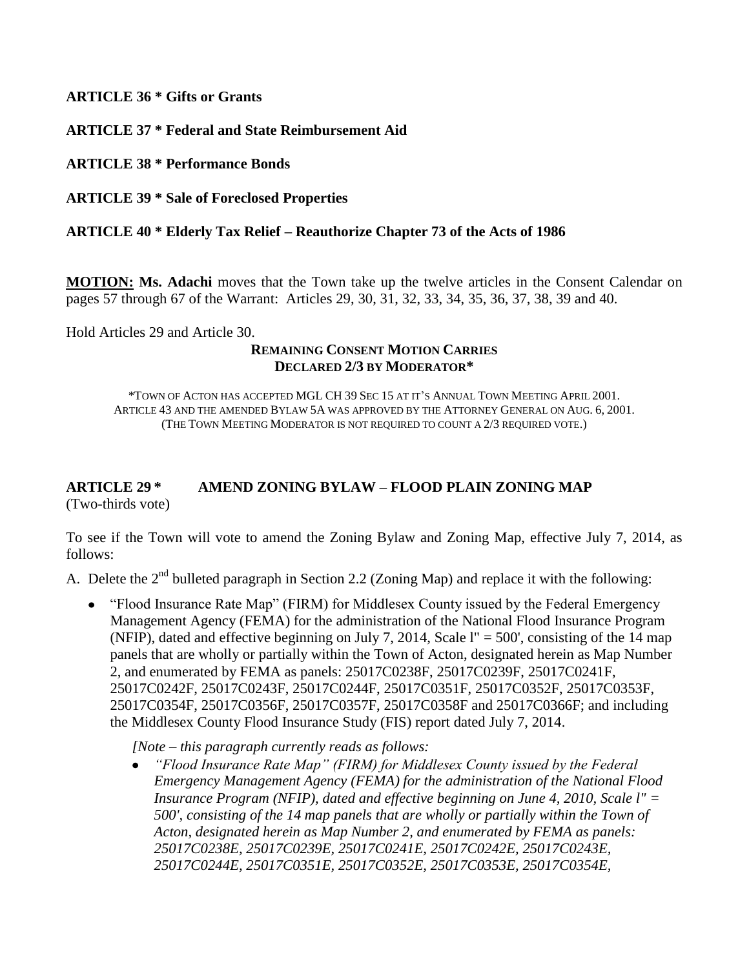**ARTICLE 36 \* Gifts or Grants**

**ARTICLE 37 \* Federal and State Reimbursement Aid**

**ARTICLE 38 \* Performance Bonds**

**ARTICLE 39 \* Sale of Foreclosed Properties**

## **ARTICLE 40 \* Elderly Tax Relief – Reauthorize Chapter 73 of the Acts of 1986**

**MOTION: Ms. Adachi** moves that the Town take up the twelve articles in the Consent Calendar on pages 57 through 67 of the Warrant: Articles 29, 30, 31, 32, 33, 34, 35, 36, 37, 38, 39 and 40.

Hold Articles 29 and Article 30.

#### **REMAINING CONSENT MOTION CARRIES DECLARED 2/3 BY MODERATOR\***

\*TOWN OF ACTON HAS ACCEPTED MGL CH 39 SEC 15 AT IT'S ANNUAL TOWN MEETING APRIL 2001. ARTICLE 43 AND THE AMENDED BYLAW 5A WAS APPROVED BY THE ATTORNEY GENERAL ON AUG. 6, 2001. (THE TOWN MEETING MODERATOR IS NOT REQUIRED TO COUNT A 2/3 REQUIRED VOTE.)

## **ARTICLE 29 \* AMEND ZONING BYLAW – FLOOD PLAIN ZONING MAP** (Two-thirds vote)

To see if the Town will vote to amend the Zoning Bylaw and Zoning Map, effective July 7, 2014, as follows:

A. Delete the  $2^{nd}$  bulleted paragraph in Section 2.2 (Zoning Map) and replace it with the following:

• "Flood Insurance Rate Map" (FIRM) for Middlesex County issued by the Federal Emergency Management Agency (FEMA) for the administration of the National Flood Insurance Program (NFIP), dated and effective beginning on July 7, 2014, Scale l" = 500', consisting of the 14 map panels that are wholly or partially within the Town of Acton, designated herein as Map Number 2, and enumerated by FEMA as panels: 25017C0238F, 25017C0239F, 25017C0241F, 25017C0242F, 25017C0243F, 25017C0244F, 25017C0351F, 25017C0352F, 25017C0353F, 25017C0354F, 25017C0356F, 25017C0357F, 25017C0358F and 25017C0366F; and including the Middlesex County Flood Insurance Study (FIS) report dated July 7, 2014.

*[Note – this paragraph currently reads as follows:*

*"Flood Insurance Rate Map" (FIRM) for Middlesex County issued by the Federal Emergency Management Agency (FEMA) for the administration of the National Flood Insurance Program (NFIP), dated and effective beginning on June 4, 2010, Scale l'' = 500', consisting of the 14 map panels that are wholly or partially within the Town of Acton, designated herein as Map Number 2, and enumerated by FEMA as panels: 25017C0238E, 25017C0239E, 25017C0241E, 25017C0242E, 25017C0243E, 25017C0244E, 25017C0351E, 25017C0352E, 25017C0353E, 25017C0354E,*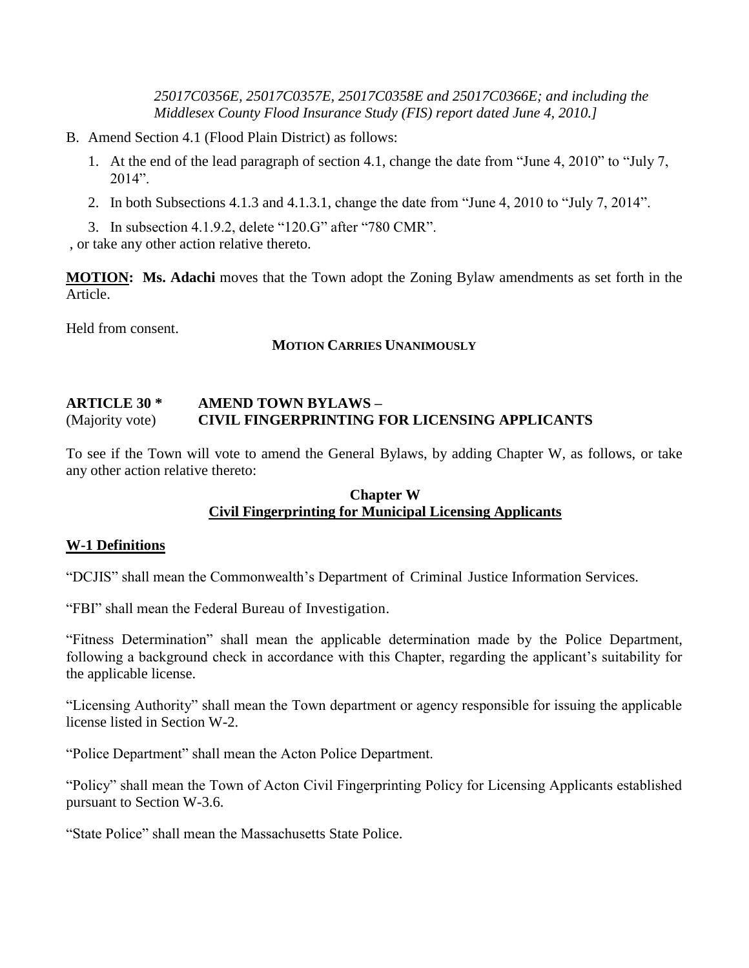*25017C0356E, 25017C0357E, 25017C0358E and 25017C0366E; and including the Middlesex County Flood Insurance Study (FIS) report dated June 4, 2010.]*

- B. Amend Section 4.1 (Flood Plain District) as follows:
	- 1. At the end of the lead paragraph of section 4.1, change the date from "June 4, 2010" to "July 7, 2014".
	- 2. In both Subsections 4.1.3 and 4.1.3.1, change the date from "June 4, 2010 to "July 7, 2014".
	- 3. In subsection 4.1.9.2, delete "120.G" after "780 CMR".

, or take any other action relative thereto.

**MOTION: Ms. Adachi** moves that the Town adopt the Zoning Bylaw amendments as set forth in the Article.

Held from consent.

## **MOTION CARRIES UNANIMOUSLY**

## **ARTICLE 30 \* AMEND TOWN BYLAWS –** (Majority vote) **CIVIL FINGERPRINTING FOR LICENSING APPLICANTS**

To see if the Town will vote to amend the General Bylaws, by adding Chapter W, as follows, or take any other action relative thereto:

## **Chapter W Civil Fingerprinting for Municipal Licensing Applicants**

## **W-1 Definitions**

"DCJIS" shall mean the Commonwealth's Department of Criminal Justice Information Services.

"FBI" shall mean the Federal Bureau of Investigation.

"Fitness Determination" shall mean the applicable determination made by the Police Department, following a background check in accordance with this Chapter, regarding the applicant's suitability for the applicable license.

"Licensing Authority" shall mean the Town department or agency responsible for issuing the applicable license listed in Section W-2.

"Police Department" shall mean the Acton Police Department.

"Policy" shall mean the Town of Acton Civil Fingerprinting Policy for Licensing Applicants established pursuant to Section W-3.6.

"State Police" shall mean the Massachusetts State Police.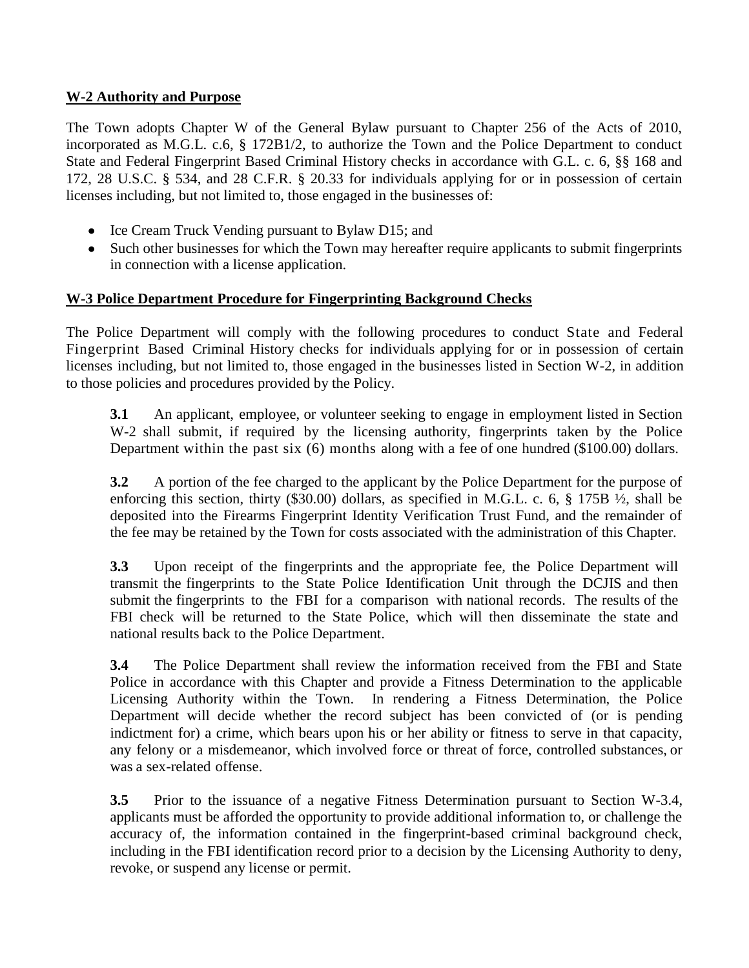## **W-2 Authority and Purpose**

The Town adopts Chapter W of the General Bylaw pursuant to Chapter 256 of the Acts of 2010, incorporated as M.G.L. c.6, § 172B1/2, to authorize the Town and the Police Department to conduct State and Federal Fingerprint Based Criminal History checks in accordance with G.L. c. 6, §§ 168 and 172, 28 U.S.C. § 534, and 28 C.F.R. § 20.33 for individuals applying for or in possession of certain licenses including, but not limited to, those engaged in the businesses of:

- Ice Cream Truck Vending pursuant to Bylaw D15; and
- Such other businesses for which the Town may hereafter require applicants to submit fingerprints in connection with a license application.

## **W-3 Police Department Procedure for Fingerprinting Background Checks**

The Police Department will comply with the following procedures to conduct State and Federal Fingerprint Based Criminal History checks for individuals applying for or in possession of certain licenses including, but not limited to, those engaged in the businesses listed in Section W-2, in addition to those policies and procedures provided by the Policy.

**3.1** An applicant, employee, or volunteer seeking to engage in employment listed in Section W-2 shall submit, if required by the licensing authority, fingerprints taken by the Police Department within the past six (6) months along with a fee of one hundred (\$100.00) dollars.

**3.2** A portion of the fee charged to the applicant by the Police Department for the purpose of enforcing this section, thirty (\$30.00) dollars, as specified in M.G.L. c. 6, § 175B ½, shall be deposited into the Firearms Fingerprint Identity Verification Trust Fund, and the remainder of the fee may be retained by the Town for costs associated with the administration of this Chapter.

**3.3** Upon receipt of the fingerprints and the appropriate fee, the Police Department will transmit the fingerprints to the State Police Identification Unit through the DCJIS and then submit the fingerprints to the FBI for a comparison with national records. The results of the FBI check will be returned to the State Police, which will then disseminate the state and national results back to the Police Department.

**3.4** The Police Department shall review the information received from the FBI and State Police in accordance with this Chapter and provide a Fitness Determination to the applicable Licensing Authority within the Town. In rendering a Fitness Determination, the Police Department will decide whether the record subject has been convicted of (or is pending indictment for) a crime, which bears upon his or her ability or fitness to serve in that capacity, any felony or a misdemeanor, which involved force or threat of force, controlled substances, or was a sex-related offense.

**3.5** Prior to the issuance of a negative Fitness Determination pursuant to Section W-3.4, applicants must be afforded the opportunity to provide additional information to, or challenge the accuracy of, the information contained in the fingerprint-based criminal background check, including in the FBI identification record prior to a decision by the Licensing Authority to deny, revoke, or suspend any license or permit.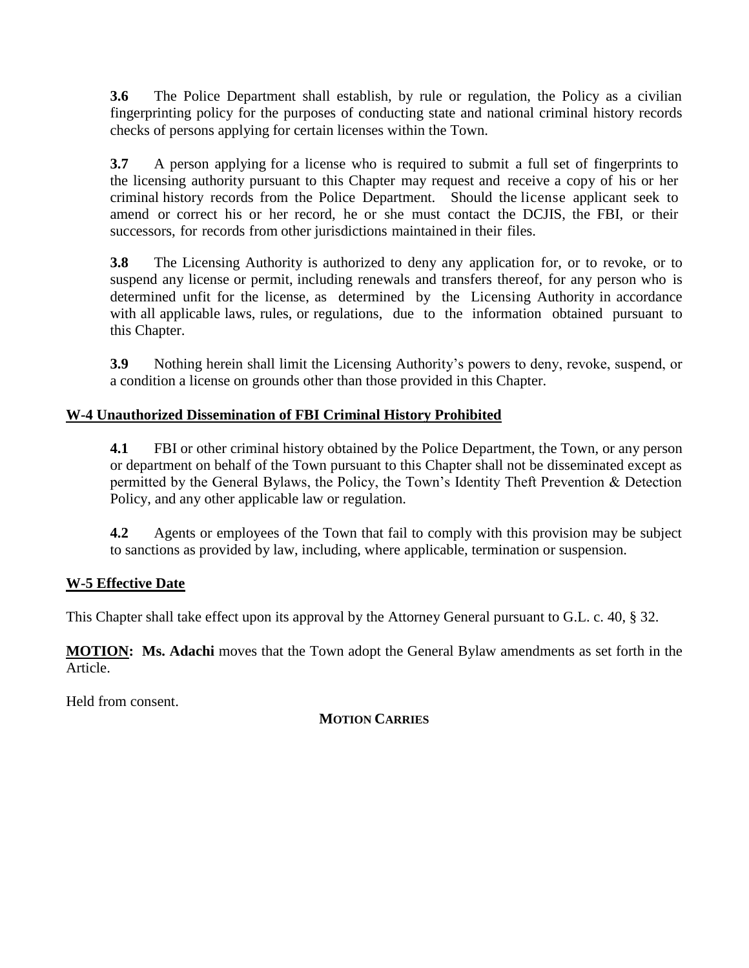**3.6** The Police Department shall establish, by rule or regulation, the Policy as a civilian fingerprinting policy for the purposes of conducting state and national criminal history records checks of persons applying for certain licenses within the Town.

**3.7** A person applying for a license who is required to submit a full set of fingerprints to the licensing authority pursuant to this Chapter may request and receive a copy of his or her criminal history records from the Police Department. Should the license applicant seek to amend or correct his or her record, he or she must contact the DCJIS, the FBI, or their successors, for records from other jurisdictions maintained in their files.

**3.8** The Licensing Authority is authorized to deny any application for, or to revoke, or to suspend any license or permit, including renewals and transfers thereof, for any person who is determined unfit for the license, as determined by the Licensing Authority in accordance with all applicable laws, rules, or regulations, due to the information obtained pursuant to this Chapter.

**3.9** Nothing herein shall limit the Licensing Authority's powers to deny, revoke, suspend, or a condition a license on grounds other than those provided in this Chapter.

## **W-4 Unauthorized Dissemination of FBI Criminal History Prohibited**

**4.1** FBI or other criminal history obtained by the Police Department, the Town, or any person or department on behalf of the Town pursuant to this Chapter shall not be disseminated except as permitted by the General Bylaws, the Policy, the Town's Identity Theft Prevention & Detection Policy, and any other applicable law or regulation.

**4.2** Agents or employees of the Town that fail to comply with this provision may be subject to sanctions as provided by law, including, where applicable, termination or suspension.

## **W-5 Effective Date**

This Chapter shall take effect upon its approval by the Attorney General pursuant to G.L. c. 40, § 32.

**MOTION: Ms. Adachi** moves that the Town adopt the General Bylaw amendments as set forth in the Article.

Held from consent.

## **MOTION CARRIES**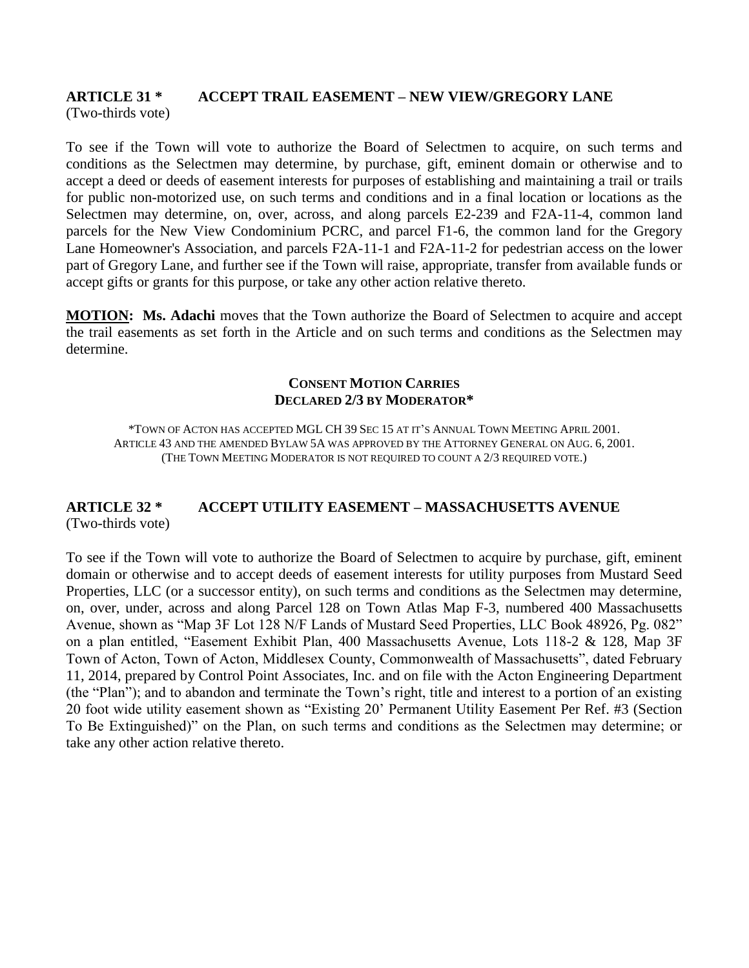#### **ARTICLE 31 \* ACCEPT TRAIL EASEMENT – NEW VIEW/GREGORY LANE** (Two-thirds vote)

To see if the Town will vote to authorize the Board of Selectmen to acquire, on such terms and conditions as the Selectmen may determine, by purchase, gift, eminent domain or otherwise and to accept a deed or deeds of easement interests for purposes of establishing and maintaining a trail or trails for public non-motorized use, on such terms and conditions and in a final location or locations as the Selectmen may determine, on, over, across, and along parcels E2-239 and F2A-11-4, common land parcels for the New View Condominium PCRC, and parcel F1-6, the common land for the Gregory Lane Homeowner's Association, and parcels F2A-11-1 and F2A-11-2 for pedestrian access on the lower part of Gregory Lane, and further see if the Town will raise, appropriate, transfer from available funds or accept gifts or grants for this purpose, or take any other action relative thereto.

**MOTION:** Ms. Adachi moves that the Town authorize the Board of Selectmen to acquire and accept the trail easements as set forth in the Article and on such terms and conditions as the Selectmen may determine.

#### **CONSENT MOTION CARRIES DECLARED 2/3 BY MODERATOR\***

\*TOWN OF ACTON HAS ACCEPTED MGL CH 39 SEC 15 AT IT'S ANNUAL TOWN MEETING APRIL 2001. ARTICLE 43 AND THE AMENDED BYLAW 5A WAS APPROVED BY THE ATTORNEY GENERAL ON AUG. 6, 2001. (THE TOWN MEETING MODERATOR IS NOT REQUIRED TO COUNT A 2/3 REQUIRED VOTE.)

## **ARTICLE 32 \* ACCEPT UTILITY EASEMENT – MASSACHUSETTS AVENUE** (Two-thirds vote)

To see if the Town will vote to authorize the Board of Selectmen to acquire by purchase, gift, eminent domain or otherwise and to accept deeds of easement interests for utility purposes from Mustard Seed Properties, LLC (or a successor entity), on such terms and conditions as the Selectmen may determine, on, over, under, across and along Parcel 128 on Town Atlas Map F-3, numbered 400 Massachusetts Avenue, shown as "Map 3F Lot 128 N/F Lands of Mustard Seed Properties, LLC Book 48926, Pg. 082" on a plan entitled, "Easement Exhibit Plan, 400 Massachusetts Avenue, Lots 118-2 & 128, Map 3F Town of Acton, Town of Acton, Middlesex County, Commonwealth of Massachusetts", dated February 11, 2014, prepared by Control Point Associates, Inc. and on file with the Acton Engineering Department (the "Plan"); and to abandon and terminate the Town's right, title and interest to a portion of an existing 20 foot wide utility easement shown as "Existing 20' Permanent Utility Easement Per Ref. #3 (Section To Be Extinguished)" on the Plan, on such terms and conditions as the Selectmen may determine; or take any other action relative thereto.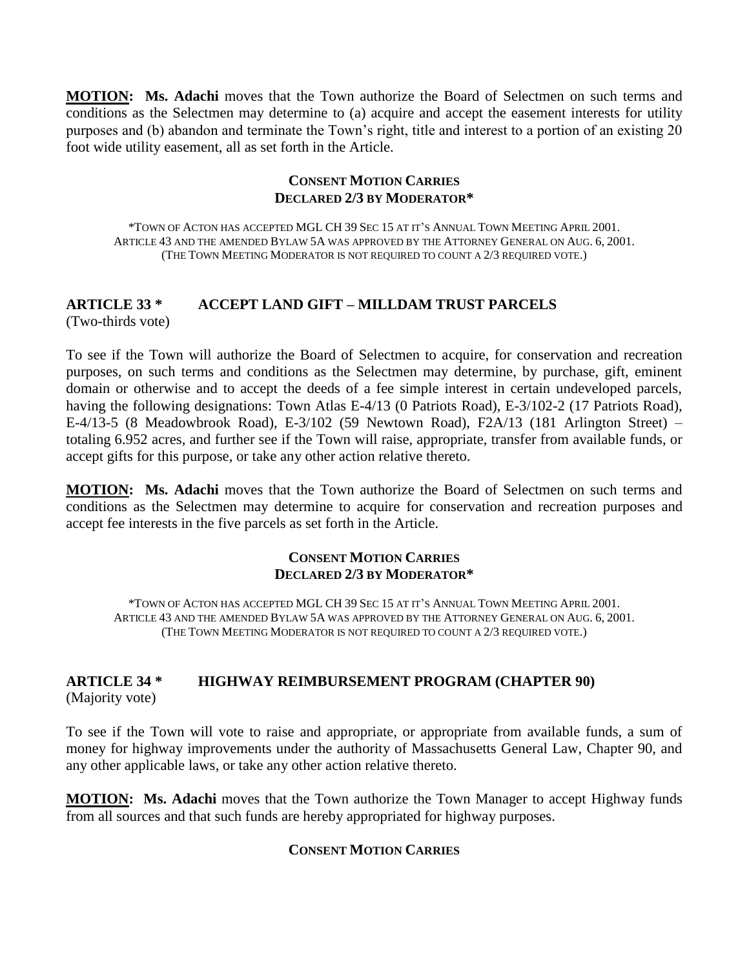**MOTION: Ms. Adachi** moves that the Town authorize the Board of Selectmen on such terms and conditions as the Selectmen may determine to (a) acquire and accept the easement interests for utility purposes and (b) abandon and terminate the Town's right, title and interest to a portion of an existing 20 foot wide utility easement, all as set forth in the Article.

#### **CONSENT MOTION CARRIES DECLARED 2/3 BY MODERATOR\***

\*TOWN OF ACTON HAS ACCEPTED MGL CH 39 SEC 15 AT IT'S ANNUAL TOWN MEETING APRIL 2001. ARTICLE 43 AND THE AMENDED BYLAW 5A WAS APPROVED BY THE ATTORNEY GENERAL ON AUG. 6, 2001. (THE TOWN MEETING MODERATOR IS NOT REQUIRED TO COUNT A 2/3 REQUIRED VOTE.)

# **ARTICLE 33 \* ACCEPT LAND GIFT – MILLDAM TRUST PARCELS**

(Two-thirds vote)

To see if the Town will authorize the Board of Selectmen to acquire, for conservation and recreation purposes, on such terms and conditions as the Selectmen may determine, by purchase, gift, eminent domain or otherwise and to accept the deeds of a fee simple interest in certain undeveloped parcels, having the following designations: Town Atlas E-4/13 (0 Patriots Road), E-3/102-2 (17 Patriots Road), E-4/13-5 (8 Meadowbrook Road), E-3/102 (59 Newtown Road), F2A/13 (181 Arlington Street) – totaling 6.952 acres, and further see if the Town will raise, appropriate, transfer from available funds, or accept gifts for this purpose, or take any other action relative thereto.

**MOTION: Ms. Adachi** moves that the Town authorize the Board of Selectmen on such terms and conditions as the Selectmen may determine to acquire for conservation and recreation purposes and accept fee interests in the five parcels as set forth in the Article.

#### **CONSENT MOTION CARRIES DECLARED 2/3 BY MODERATOR\***

\*TOWN OF ACTON HAS ACCEPTED MGL CH 39 SEC 15 AT IT'S ANNUAL TOWN MEETING APRIL 2001. ARTICLE 43 AND THE AMENDED BYLAW 5A WAS APPROVED BY THE ATTORNEY GENERAL ON AUG. 6, 2001. (THE TOWN MEETING MODERATOR IS NOT REQUIRED TO COUNT A 2/3 REQUIRED VOTE.)

## **ARTICLE 34 \* HIGHWAY REIMBURSEMENT PROGRAM (CHAPTER 90)** (Majority vote)

To see if the Town will vote to raise and appropriate, or appropriate from available funds, a sum of money for highway improvements under the authority of Massachusetts General Law, Chapter 90, and any other applicable laws, or take any other action relative thereto.

**MOTION: Ms. Adachi** moves that the Town authorize the Town Manager to accept Highway funds from all sources and that such funds are hereby appropriated for highway purposes.

## **CONSENT MOTION CARRIES**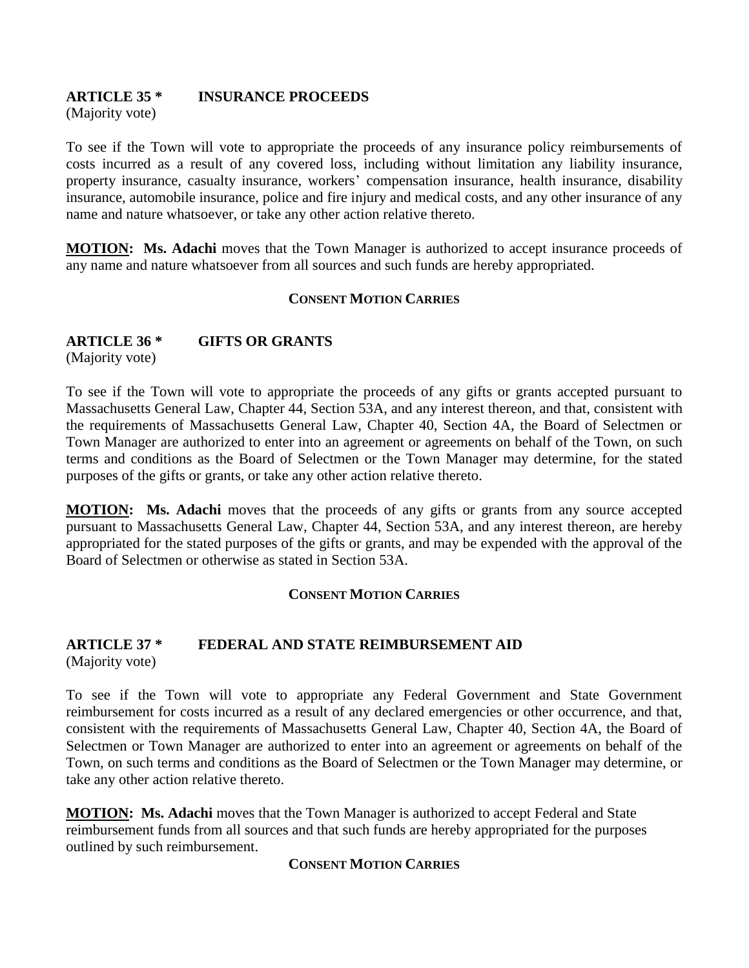#### **ARTICLE 35 \* INSURANCE PROCEEDS** (Majority vote)

To see if the Town will vote to appropriate the proceeds of any insurance policy reimbursements of costs incurred as a result of any covered loss, including without limitation any liability insurance, property insurance, casualty insurance, workers' compensation insurance, health insurance, disability insurance, automobile insurance, police and fire injury and medical costs, and any other insurance of any name and nature whatsoever, or take any other action relative thereto.

**MOTION:** Ms. Adachi moves that the Town Manager is authorized to accept insurance proceeds of any name and nature whatsoever from all sources and such funds are hereby appropriated.

## **CONSENT MOTION CARRIES**

## **ARTICLE 36 \* GIFTS OR GRANTS**

(Majority vote)

To see if the Town will vote to appropriate the proceeds of any gifts or grants accepted pursuant to Massachusetts General Law, Chapter 44, Section 53A, and any interest thereon, and that, consistent with the requirements of Massachusetts General Law, Chapter 40, Section 4A, the Board of Selectmen or Town Manager are authorized to enter into an agreement or agreements on behalf of the Town, on such terms and conditions as the Board of Selectmen or the Town Manager may determine, for the stated purposes of the gifts or grants, or take any other action relative thereto.

**MOTION: Ms. Adachi** moves that the proceeds of any gifts or grants from any source accepted pursuant to Massachusetts General Law, Chapter 44, Section 53A, and any interest thereon, are hereby appropriated for the stated purposes of the gifts or grants, and may be expended with the approval of the Board of Selectmen or otherwise as stated in Section 53A.

#### **CONSENT MOTION CARRIES**

#### **ARTICLE 37 \* FEDERAL AND STATE REIMBURSEMENT AID** (Majority vote)

To see if the Town will vote to appropriate any Federal Government and State Government reimbursement for costs incurred as a result of any declared emergencies or other occurrence, and that, consistent with the requirements of Massachusetts General Law, Chapter 40, Section 4A, the Board of Selectmen or Town Manager are authorized to enter into an agreement or agreements on behalf of the Town, on such terms and conditions as the Board of Selectmen or the Town Manager may determine, or take any other action relative thereto.

**MOTION: Ms. Adachi** moves that the Town Manager is authorized to accept Federal and State reimbursement funds from all sources and that such funds are hereby appropriated for the purposes outlined by such reimbursement.

#### **CONSENT MOTION CARRIES**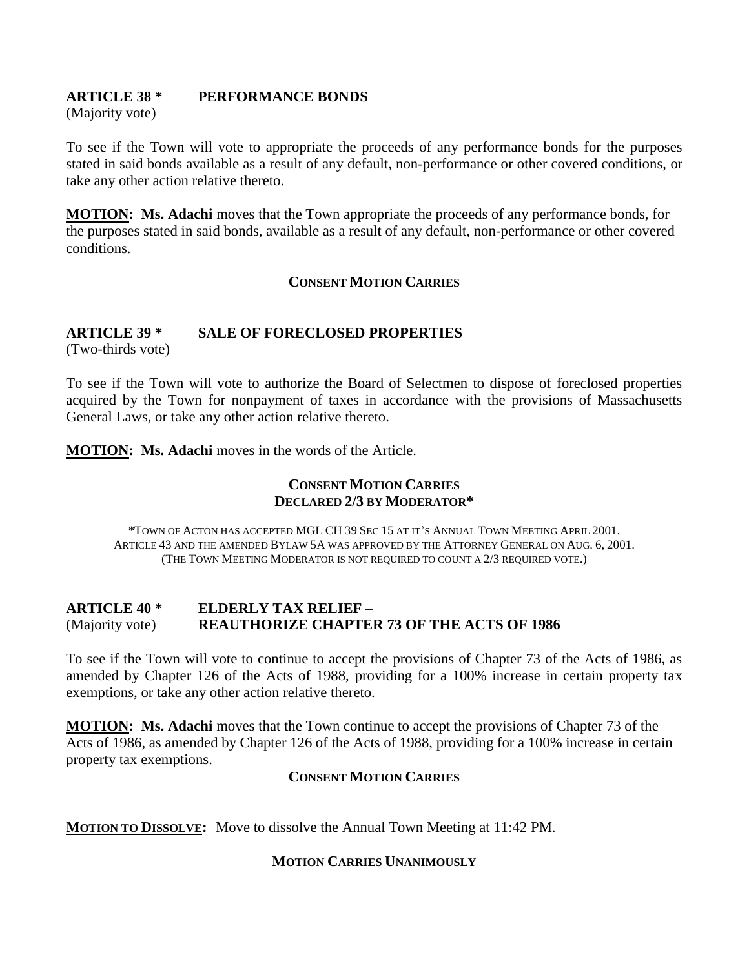## **ARTICLE 38 \* PERFORMANCE BONDS**

(Majority vote)

To see if the Town will vote to appropriate the proceeds of any performance bonds for the purposes stated in said bonds available as a result of any default, non-performance or other covered conditions, or take any other action relative thereto.

**MOTION: Ms. Adachi** moves that the Town appropriate the proceeds of any performance bonds, for the purposes stated in said bonds, available as a result of any default, non-performance or other covered conditions.

## **CONSENT MOTION CARRIES**

## **ARTICLE 39 \* SALE OF FORECLOSED PROPERTIES**

(Two-thirds vote)

To see if the Town will vote to authorize the Board of Selectmen to dispose of foreclosed properties acquired by the Town for nonpayment of taxes in accordance with the provisions of Massachusetts General Laws, or take any other action relative thereto.

**MOTION: Ms. Adachi** moves in the words of the Article.

## **CONSENT MOTION CARRIES DECLARED 2/3 BY MODERATOR\***

\*TOWN OF ACTON HAS ACCEPTED MGL CH 39 SEC 15 AT IT'S ANNUAL TOWN MEETING APRIL 2001. ARTICLE 43 AND THE AMENDED BYLAW 5A WAS APPROVED BY THE ATTORNEY GENERAL ON AUG. 6, 2001. (THE TOWN MEETING MODERATOR IS NOT REQUIRED TO COUNT A 2/3 REQUIRED VOTE.)

## **ARTICLE 40 \* ELDERLY TAX RELIEF –** (Majority vote) **REAUTHORIZE CHAPTER 73 OF THE ACTS OF 1986**

To see if the Town will vote to continue to accept the provisions of Chapter 73 of the Acts of 1986, as amended by Chapter 126 of the Acts of 1988, providing for a 100% increase in certain property tax exemptions, or take any other action relative thereto.

**MOTION: Ms. Adachi** moves that the Town continue to accept the provisions of Chapter 73 of the Acts of 1986, as amended by Chapter 126 of the Acts of 1988, providing for a 100% increase in certain property tax exemptions.

## **CONSENT MOTION CARRIES**

**MOTION TO DISSOLVE:** Move to dissolve the Annual Town Meeting at 11:42 PM.

#### **MOTION CARRIES UNANIMOUSLY**